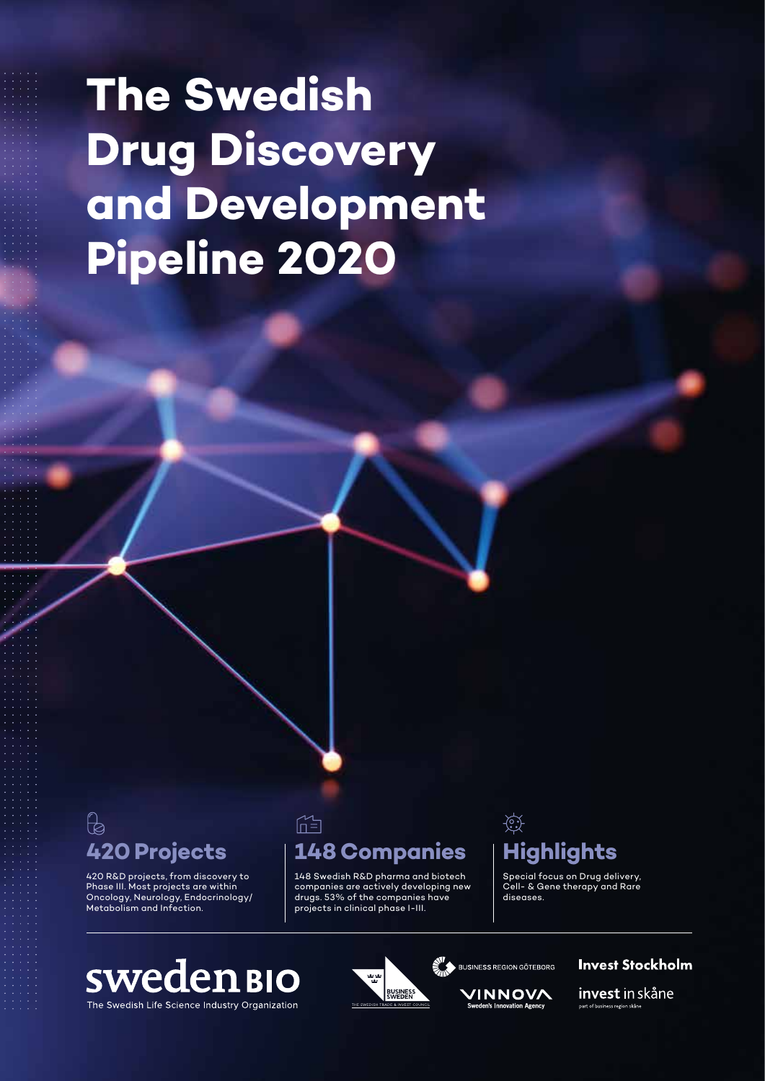# **The Swedish Drug Discovery and Development Pipeline 2020**

# $\beta$

420 R&D projects, from discovery to Phase III. Most projects are within Oncology, Neurology, Endocrinology/ Metabolism and Infection.

### **420 Projects 148 Companies Highlights**

 $\mathbb{M}$ 

148 Swedish R&D pharma and biotech companies are actively developing new drugs. 53% of the companies have projects in clinical phase I-III.

# $\overleftrightarrow{\mathbb{C}}$

Special focus on Drug delivery, Cell- & Gene therapy and Rare diseases.

### **sweden BIO** The Swedish Life Science Industry Organization



VINNOVA

**Invest Stockholm** 

invest in skåne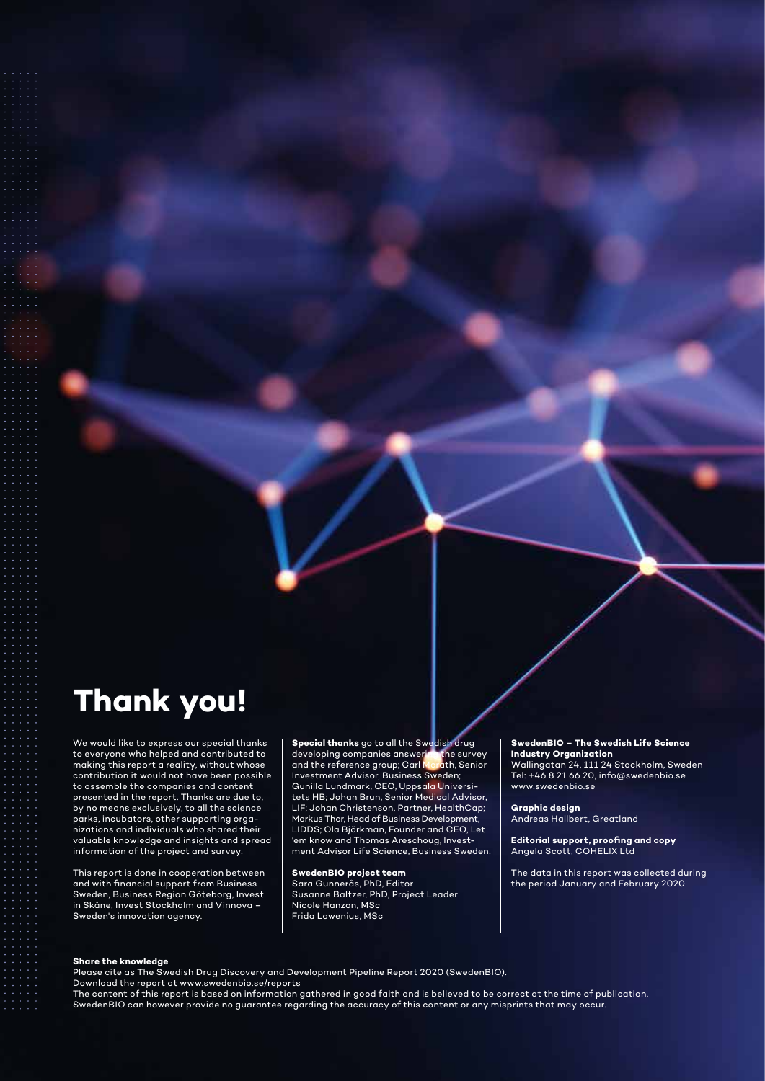### **Thank you!**

We would like to express our special thanks to everyone who helped and contributed to making this report a reality, without whose contribution it would not have been possible to assemble the companies and content presented in the report. Thanks are due to, by no means exclusively, to all the science parks, incubators, other supporting organizations and individuals who shared their valuable knowledge and insights and spread information of the project and survey.

This report is done in cooperation between and with financial support from Business Sweden, Business Region Göteborg, Invest in Skåne, Invest Stockholm and Vinnova – Sweden's innovation agency.

**Special thanks** go to all the Swedish drug developing companies answering the survey and the reference group; Carl Morath, Senior and the reference group; Carl Morath, S<br>Investment Advisor, Business Sweden; Gunilla Lundmark, CEO, Uppsala Universitets HB; Johan Brun, Senior Medical Advisor, LIF; Johan Christenson, Partner, HealthCap; Markus Thor, Head of Business Development, LIDDS; Ola Björkman, Founder and CEO, Let 'em know and Thomas Areschoug, Investment Advisor Life Science, Business Sweden.

**SwedenBIO project team** 

Sara Gunnerås, PhD, Editor Susanne Baltzer, PhD, Project Leader Nicole Hanzon, MSc Frida Lawenius, MSc

#### **SwedenBIO – The Swedish Life Science Industry Organization**

Wallingatan 24, 111 24 Stockholm, Sweden Tel: +46 8 21 66 20, info@swedenbio.se www.swedenbio.se

**Graphic design** Andreas Hallbert, Greatland

**Editorial support, proofing and copy** Angela Scott, COHELIX Ltd

The data in this report was collected during the period January and February 2020.

#### **Share the knowledge**

Please cite as The Swedish Drug Discovery and Development Pipeline Report 2020 (SwedenBIO).

Download the report at www.swedenbio.se/reports

The content of this report is based on information gathered in good faith and is believed to be correct at the time of publication. SwedenBIO can however provide no guarantee regarding the accuracy of this content or any misprints that may occur.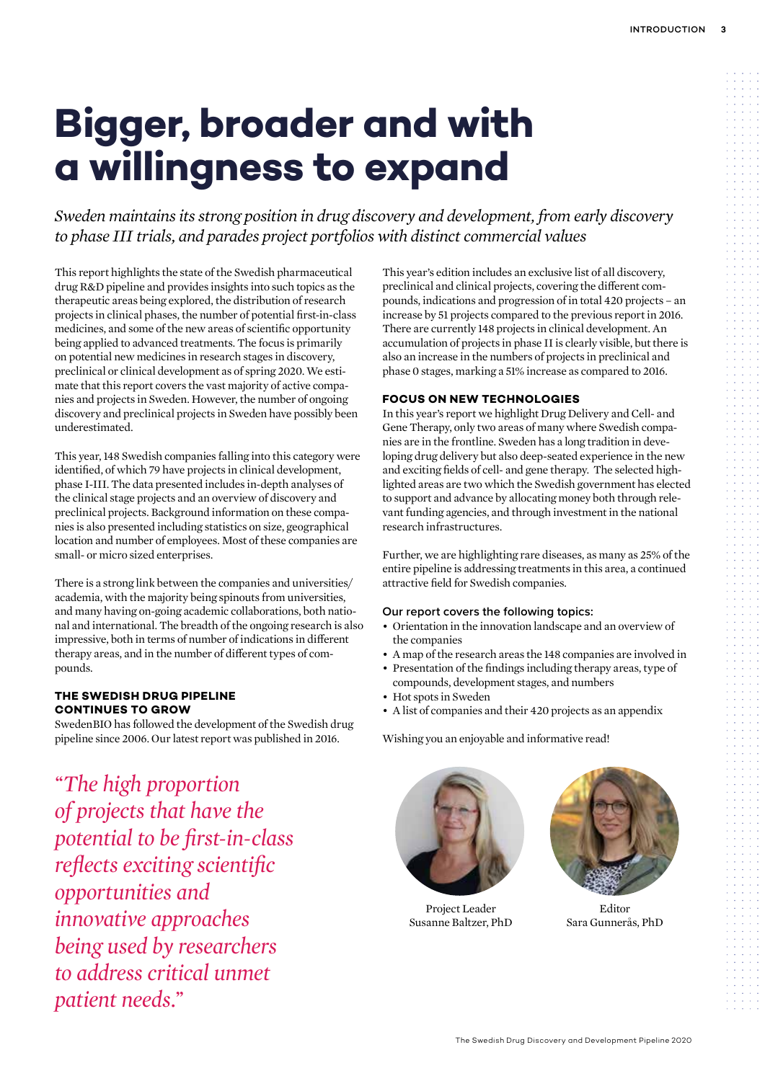# **Bigger, broader and with a willingness to expand**

*Sweden maintains its strong position in drug discovery and development, from early discovery to phase III trials, and parades project portfolios with distinct commercial values*

This report highlights the state of the Swedish pharmaceutical drug R&D pipeline and provides insights into such topics as the therapeutic areas being explored, the distribution of research projects in clinical phases, the number of potential first-in-class medicines, and some of the new areas of scientific opportunity being applied to advanced treatments. The focus is primarily on potential new medicines in research stages in discovery, preclinical or clinical development as of spring 2020. We estimate that this report covers the vast majority of active companies and projects in Sweden. However, the number of ongoing discovery and preclinical projects in Sweden have possibly been underestimated.

This year, 148 Swedish companies falling into this category were identified, of which 79 have projects in clinical development, phase I-III. The data presented includes in-depth analyses of the clinical stage projects and an overview of discovery and preclinical projects. Background information on these companies is also presented including statistics on size, geographical location and number of employees. Most of these companies are small- or micro sized enterprises.

There is a strong link between the companies and universities/ academia, with the majority being spinouts from universities, and many having on-going academic collaborations, both national and international. The breadth of the ongoing research is also impressive, both in terms of number of indications in different therapy areas, and in the number of different types of compounds.

### **THE SWEDISH DRUG PIPELINE CONTINUES TO GROW**

SwedenBIO has followed the development of the Swedish drug pipeline since 2006. Our latest report was published in 2016.

*"The high proportion of projects that have the potential to be first-in-class reflects exciting scientific opportunities and innovative approaches being used by researchers to address critical unmet patient needs."*

This year's edition includes an exclusive list of all discovery, preclinical and clinical projects, covering the different compounds, indications and progression of in total 420 projects – an increase by 51 projects compared to the previous report in 2016. There are currently 148 projects in clinical development. An accumulation of projects in phase II is clearly visible, but there is also an increase in the numbers of projects in preclinical and phase 0 stages, marking a 51% increase as compared to 2016.

### **FOCUS ON NEW TECHNOLOGIES**

In this year's report we highlight Drug Delivery and Cell- and Gene Therapy, only two areas of many where Swedish companies are in the frontline. Sweden has a long tradition in developing drug delivery but also deep-seated experience in the new and exciting fields of cell- and gene therapy. The selected highlighted areas are two which the Swedish government has elected to support and advance by allocating money both through relevant funding agencies, and through investment in the national research infrastructures.

Further, we are highlighting rare diseases, as many as 25% of the entire pipeline is addressing treatments in this area, a continued attractive field for Swedish companies.

### **Our report covers the following topics:**

- Orientation in the innovation landscape and an overview of the companies
- A map of the research areas the 148 companies are involved in
- Presentation of the findings including therapy areas, type of compounds, development stages, and numbers
- Hot spots in Sweden
- A list of companies and their 420 projects as an appendix

Wishing you an enjoyable and informative read!



Project Leader **Editor** Susanne Baltzer, PhD Sara Gunnerås, PhD

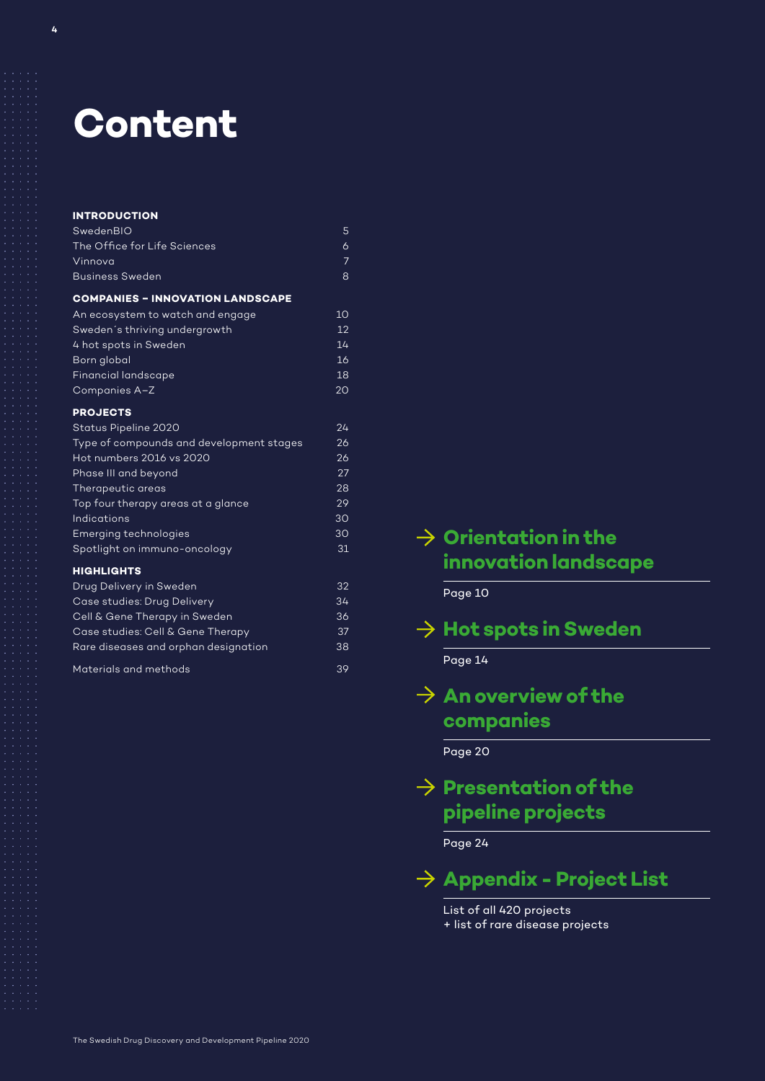## **Content**

| <b>INTRODUCTION</b>                      |                 |
|------------------------------------------|-----------------|
| SwedenBIO                                | 5               |
| The Office for Life Sciences             | $\overline{6}$  |
| Vinnova                                  | $\overline{7}$  |
| <b>Business Sweden</b>                   | 8               |
| <b>COMPANIES - INNOVATION LANDSCAPE</b>  |                 |
| An ecosystem to watch and engage         | 10              |
| Sweden's thriving undergrowth            | 12              |
| 4 hot spots in Sweden                    | 14              |
| Born global                              | 16              |
| <b>Financial landscape</b>               | 18              |
| Companies A-Z                            | 20              |
| <b>PROJECTS</b>                          |                 |
| Status Pipeline 2020                     | 24              |
| Type of compounds and development stages | 26              |
| Hot numbers 2016 vs 2020                 | 26              |
| Phase III and beyond                     | 27              |
| Therapeutic areas                        | 28              |
| Top four therapy areas at a glance       | 29              |
| Indications                              | 30              |
| <b>Emerging technologies</b>             | 30              |
| Spotlight on immuno-oncology             | 31              |
| <b>HIGHLIGHTS</b>                        |                 |
| Drug Delivery in Sweden                  | $3\overline{2}$ |
| Case studies: Drug Delivery              | 34              |
| Cell & Gene Therapy in Sweden            | 36              |
| Case studies: Cell & Gene Therapy        | 37              |
| Rare diseases and orphan designation     | 38              |
| Materials and methods                    | 39              |

### **Orientation in the innovation landscape**

Page 10

| $\overline{\rightarrow}$ Hot spots in Sweden |  |  |
|----------------------------------------------|--|--|
|                                              |  |  |

Page 14

### $\rightarrow$  An overview of the **companies**

Page 20

### $\rightarrow$  Presentation of the **pipeline projects**

Page 24

**Appendix - Project List** 

List of all 420 projects + list of rare disease projects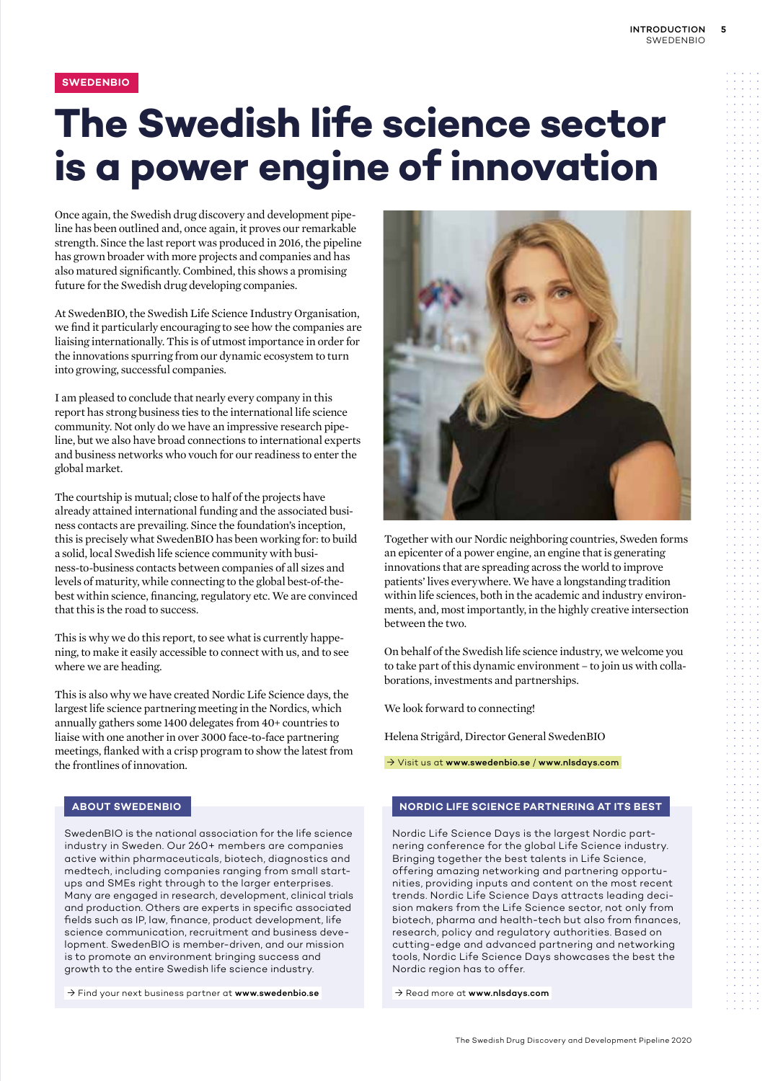### **SWEDENBIO**

# **The Swedish life science sector is a power engine of innovation**

Once again, the Swedish drug discovery and development pipeline has been outlined and, once again, it proves our remarkable strength. Since the last report was produced in 2016, the pipeline has grown broader with more projects and companies and has also matured significantly. Combined, this shows a promising future for the Swedish drug developing companies.

At SwedenBIO, the Swedish Life Science Industry Organisation, we find it particularly encouraging to see how the companies are liaising internationally. This is of utmost importance in order for the innovations spurring from our dynamic ecosystem to turn into growing, successful companies.

I am pleased to conclude that nearly every company in this report has strong business ties to the international life science community. Not only do we have an impressive research pipeline, but we also have broad connections to international experts and business networks who vouch for our readiness to enter the global market.

The courtship is mutual; close to half of the projects have already attained international funding and the associated business contacts are prevailing. Since the foundation's inception, this is precisely what SwedenBIO has been working for: to build a solid, local Swedish life science community with business-to-business contacts between companies of all sizes and levels of maturity, while connecting to the global best-of-thebest within science, financing, regulatory etc. We are convinced that this is the road to success.

This is why we do this report, to see what is currently happening, to make it easily accessible to connect with us, and to see where we are heading.

This is also why we have created Nordic Life Science days, the largest life science partnering meeting in the Nordics, which annually gathers some 1400 delegates from 40+ countries to liaise with one another in over 3000 face-to-face partnering meetings, flanked with a crisp program to show the latest from the frontlines of innovation.

### **ABOUT SWEDENBIO**

SwedenBIO is the national association for the life science industry in Sweden. Our 260+ members are companies active within pharmaceuticals, biotech, diagnostics and medtech, including companies ranging from small startups and SMEs right through to the larger enterprises. Many are engaged in research, development, clinical trials and production. Others are experts in specific associated fields such as IP, law, finance, product development, life science communication, recruitment and business development. SwedenBIO is member-driven, and our mission is to promote an environment bringing success and growth to the entire Swedish life science industry.

 $\rightarrow$  Find your next business partner at www.swedenbio.se



Together with our Nordic neighboring countries, Sweden forms an epicenter of a power engine, an engine that is generating innovations that are spreading across the world to improve patients' lives everywhere. We have a longstanding tradition within life sciences, both in the academic and industry environments, and, most importantly, in the highly creative intersection between the two.

On behalf of the Swedish life science industry, we welcome you to take part of this dynamic environment – to join us with collaborations, investments and partnerships.

We look forward to connecting!

Helena Strigård, Director General SwedenBIO

Visit us at www.swedenbio.se / www.nlsdays.com

#### **NORDIC LIFE SCIENCE PARTNERING AT ITS BEST**

Nordic Life Science Days is the largest Nordic partnering conference for the global Life Science industry. Bringing together the best talents in Life Science, offering amazing networking and partnering opportunities, providing inputs and content on the most recent trends. Nordic Life Science Days attracts leading decision makers from the Life Science sector, not only from biotech, pharma and health-tech but also from finances, research, policy and regulatory authorities. Based on cutting-edge and advanced partnering and networking tools, Nordic Life Science Days showcases the best the Nordic region has to offer.

→ Read more at www.nlsdays.com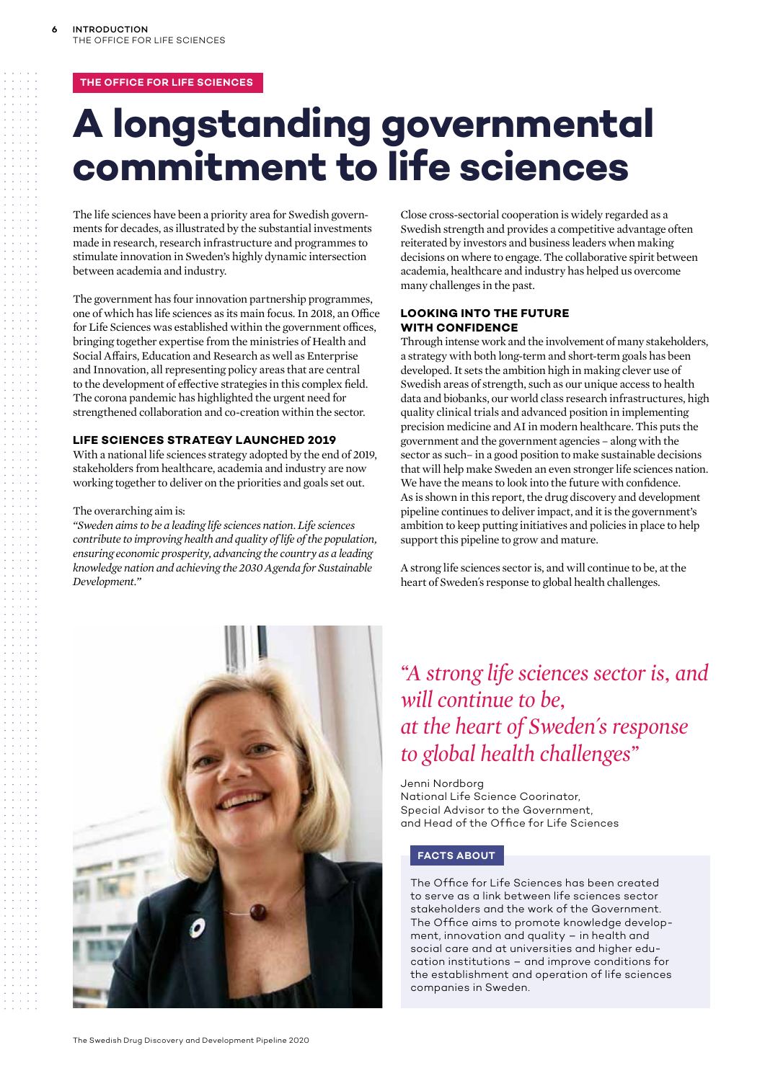### **THE OFFICE FOR LIFE SCIENCES**

# **A longstanding governmental commitment to life sciences**

The life sciences have been a priority area for Swedish governments for decades, as illustrated by the substantial investments made in research, research infrastructure and programmes to stimulate innovation in Sweden's highly dynamic intersection between academia and industry.

The government has four innovation partnership programmes, one of which has life sciences as its main focus. In 2018, an Office for Life Sciences was established within the government offices, bringing together expertise from the ministries of Health and Social Affairs, Education and Research as well as Enterprise and Innovation, all representing policy areas that are central to the development of effective strategies in this complex field. The corona pandemic has highlighted the urgent need for strengthened collaboration and co-creation within the sector.

#### **LIFE SCIENCES STRATEGY LAUNCHED 2019**

With a national life sciences strategy adopted by the end of 2019, stakeholders from healthcare, academia and industry are now working together to deliver on the priorities and goals set out.

#### The overarching aim is:

*"Sweden aims to be a leading life sciences nation. Life sciences contribute to improving health and quality of life of the population, ensuring economic prosperity, advancing the country as a leading knowledge nation and achieving the 2030 Agenda for Sustainable Development."*

Close cross-sectorial cooperation is widely regarded as a Swedish strength and provides a competitive advantage often reiterated by investors and business leaders when making decisions on where to engage. The collaborative spirit between academia, healthcare and industry has helped us overcome many challenges in the past.

### **LOOKING INTO THE FUTURE WITH CONFIDENCE**

Through intense work and the involvement of many stakeholders, a strategy with both long-term and short-term goals has been developed. It sets the ambition high in making clever use of Swedish areas of strength, such as our unique access to health data and biobanks, our world class research infrastructures, high quality clinical trials and advanced position in implementing precision medicine and AI in modern healthcare. This puts the government and the government agencies – along with the sector as such– in a good position to make sustainable decisions that will help make Sweden an even stronger life sciences nation. We have the means to look into the future with confidence. As is shown in this report, the drug discovery and development pipeline continues to deliver impact, and it is the government's ambition to keep putting initiatives and policies in place to help support this pipeline to grow and mature.

A strong life sciences sector is, and will continue to be, at the heart of Sweden´s response to global health challenges.



### *"A strong life sciences sector is, and will continue to be, at the heart of Sweden´s response to global health challenges"*

Jenni Nordborg National Life Science Coorinator, Special Advisor to the Government, and Head of the Office for Life Sciences

### **FACTS ABOUT**

The Office for Life Sciences has been created to serve as a link between life sciences sector stakeholders and the work of the Government. The Office aims to promote knowledge development, innovation and quality – in health and social care and at universities and higher education institutions – and improve conditions for the establishment and operation of life sciences companies in Sweden.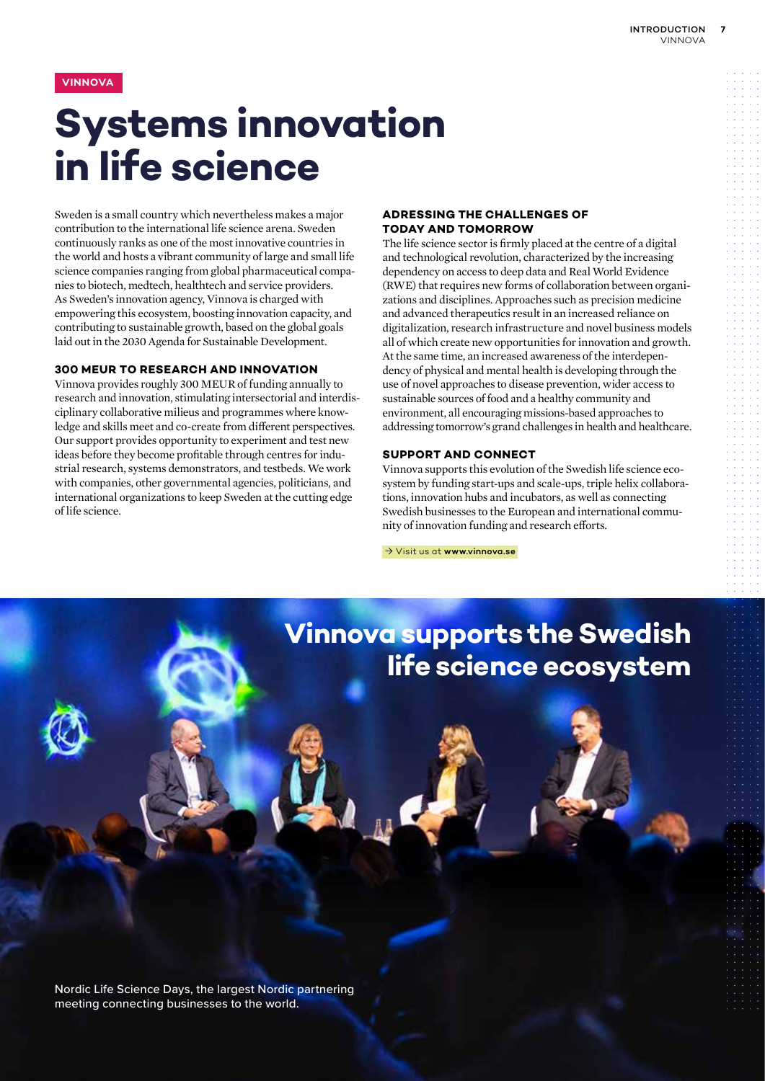### **VINNOVA**

# **Systems innovation in life science**

Sweden is a small country which nevertheless makes a major contribution to the international life science arena. Sweden continuously ranks as one of the most innovative countries in the world and hosts a vibrant community of large and small life science companies ranging from global pharmaceutical companies to biotech, medtech, healthtech and service providers. As Sweden's innovation agency, Vinnova is charged with empowering this ecosystem, boosting innovation capacity, and contributing to sustainable growth, based on the global goals laid out in the 2030 Agenda for Sustainable Development.

#### **300 MEUR TO RESEARCH AND INNOVATION**

Vinnova provides roughly 300 MEUR of funding annually to research and innovation, stimulating intersectorial and interdisciplinary collaborative milieus and programmes where knowledge and skills meet and co-create from different perspectives. Our support provides opportunity to experiment and test new ideas before they become profitable through centres for industrial research, systems demonstrators, and testbeds. We work with companies, other governmental agencies, politicians, and international organizations to keep Sweden at the cutting edge of life science.

### **ADRESSING THE CHALLENGES OF TODAY AND TOMORROW**

The life science sector is firmly placed at the centre of a digital and technological revolution, characterized by the increasing dependency on access to deep data and Real World Evidence (RWE) that requires new forms of collaboration between organizations and disciplines. Approaches such as precision medicine and advanced therapeutics result in an increased reliance on digitalization, research infrastructure and novel business models all of which create new opportunities for innovation and growth. At the same time, an increased awareness of the interdependency of physical and mental health is developing through the use of novel approaches to disease prevention, wider access to sustainable sources of food and a healthy community and environment, all encouraging missions-based approaches to addressing tomorrow's grand challenges in health and healthcare.

### **SUPPORT AND CONNECT**

Vinnova supports this evolution of the Swedish life science ecosystem by funding start-ups and scale-ups, triple helix collaborations, innovation hubs and incubators, as well as connecting Swedish businesses to the European and international community of innovation funding and research efforts.

→ Visit us at www.vinnova.se

### **Vinnova supports the Swedish life science ecosystem**

Nordic Life Science Days, the largest Nordic partnering meeting connecting businesses to the world.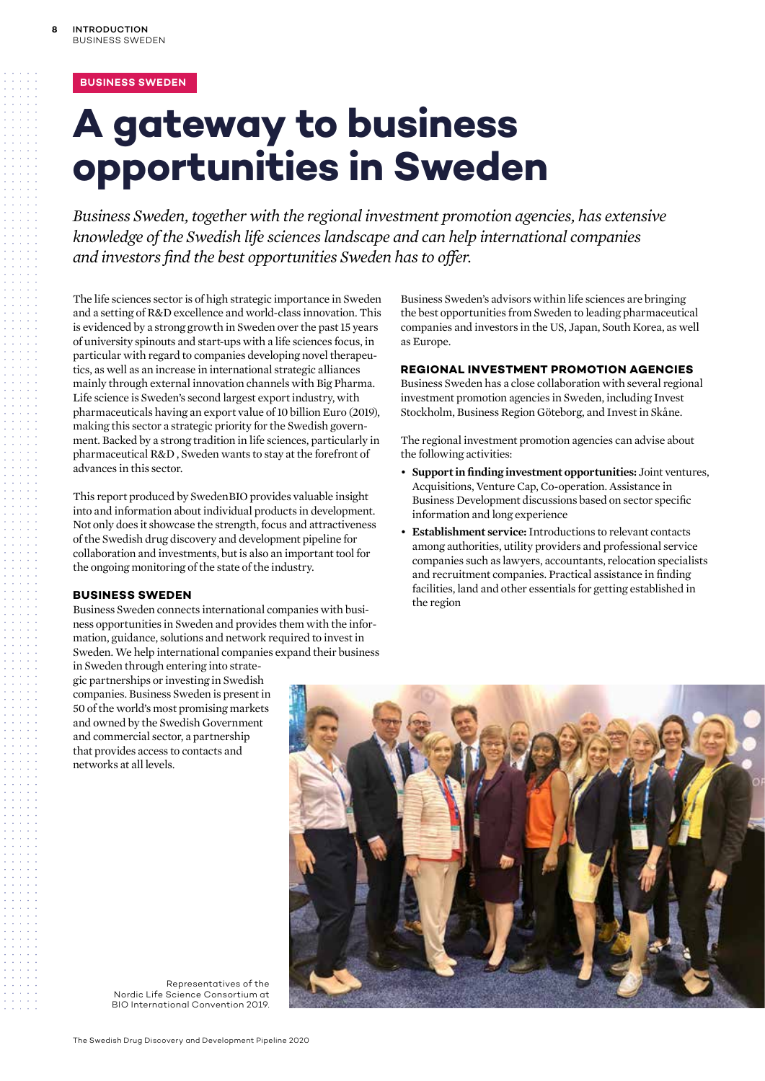### **BUSINESS SWEDEN**

# **A gateway to business opportunities in Sweden**

*Business Sweden, together with the regional investment promotion agencies, has extensive knowledge of the Swedish life sciences landscape and can help international companies and investors find the best opportunities Sweden has to offer.* 

The life sciences sector is of high strategic importance in Sweden and a setting of R&D excellence and world-class innovation. This is evidenced by a strong growth in Sweden over the past 15 years of university spinouts and start-ups with a life sciences focus, in particular with regard to companies developing novel therapeutics, as well as an increase in international strategic alliances mainly through external innovation channels with Big Pharma. Life science is Sweden's second largest export industry, with pharmaceuticals having an export value of 10 billion Euro (2019), making this sector a strategic priority for the Swedish government. Backed by a strong tradition in life sciences, particularly in pharmaceutical R&D , Sweden wants to stay at the forefront of advances in this sector.

This report produced by SwedenBIO provides valuable insight into and information about individual products in development. Not only does it showcase the strength, focus and attractiveness of the Swedish drug discovery and development pipeline for collaboration and investments, but is also an important tool for the ongoing monitoring of the state of the industry.

### **BUSINESS SWEDEN**

Business Sweden connects international companies with business opportunities in Sweden and provides them with the information, guidance, solutions and network required to invest in Sweden. We help international companies expand their business

in Sweden through entering into strategic partnerships or investing in Swedish companies. Business Sweden is present in 50 of the world's most promising markets and owned by the Swedish Government and commercial sector, a partnership that provides access to contacts and networks at all levels.

Business Sweden's advisors within life sciences are bringing the best opportunities from Sweden to leading pharmaceutical companies and investors in the US, Japan, South Korea, as well as Europe.

#### **REGIONAL INVESTMENT PROMOTION AGENCIES**

Business Sweden has a close collaboration with several regional investment promotion agencies in Sweden, including Invest Stockholm, Business Region Göteborg, and Invest in Skåne.

The regional investment promotion agencies can advise about the following activities:

- **Support in finding investment opportunities:** Joint ventures, Acquisitions, Venture Cap, Co-operation. Assistance in Business Development discussions based on sector specific information and long experience
- **Establishment service:** Introductions to relevant contacts among authorities, utility providers and professional service companies such as lawyers, accountants, relocation specialists and recruitment companies. Practical assistance in finding facilities, land and other essentials for getting established in the region



Representatives of the Nordic Life Science Consortium at BIO International Convention 2019.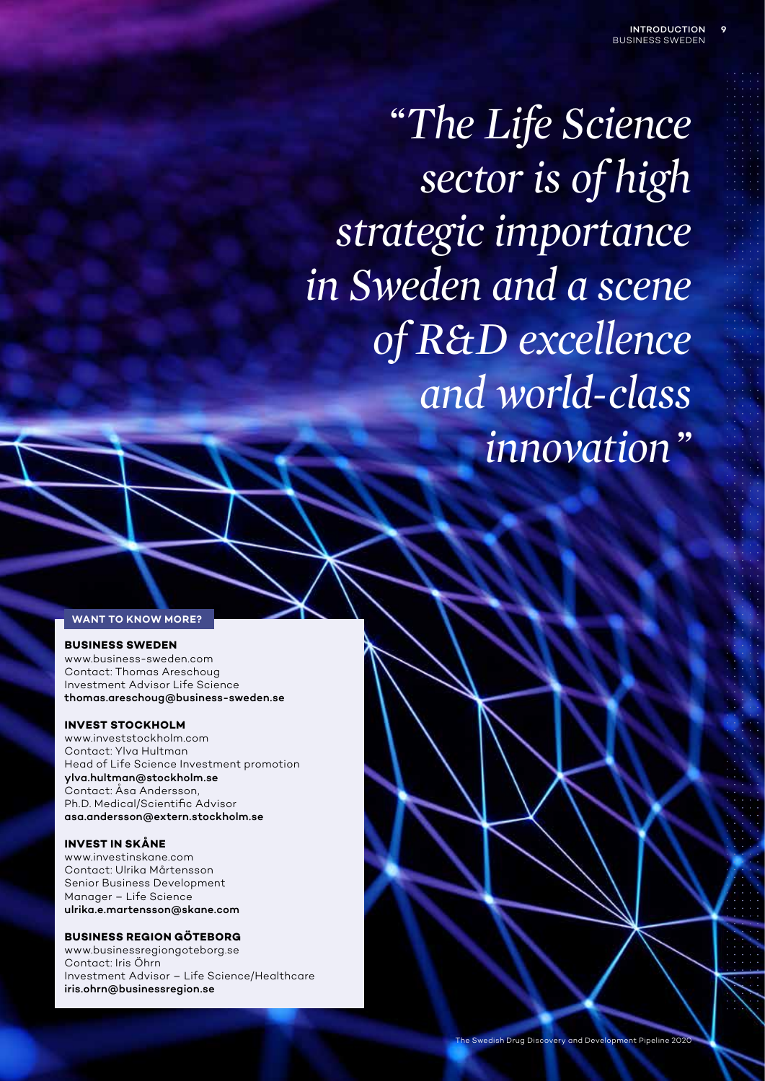*"The Life Science sector is of high strategic importance in Sweden and a scene of R&D excellence and world-class innovation"*

#### **WANT TO KNOW MORE?**

### **BUSINESS SWEDEN**

www.business-sweden.com Contact: Thomas Areschoug Investment Advisor Life Science thomas.areschoug@business-sweden.se

#### **INVEST STOCKHOLM**

www.investstockholm.com Contact: Ylva Hultman Head of Life Science Investment promotion ylva.hultman@stockholm.se Contact: Åsa Andersson, Ph.D. Medical/Scientific Advisor asa.andersson@extern.stockholm.se

#### **INVEST IN SKÅNE**

www.investinskane.com Contact: Ulrika Mårtensson Senior Business Development Manager – Life Science ulrika.e.martensson@skane.com

#### **BUSINESS REGION GÖTEBORG**

www.businessregiongoteborg.se Contact: Iris Öhrn Investment Advisor – Life Science/Healthcare iris.ohrn@businessregion.se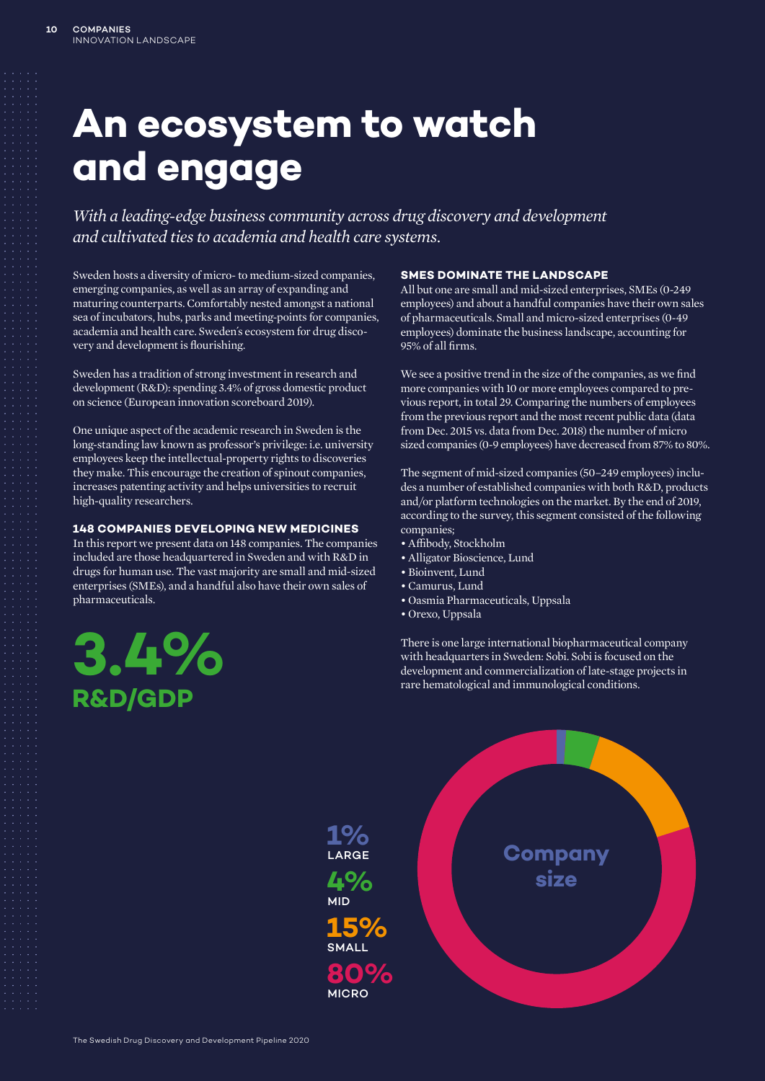# **An ecosystem to watch and engage**

*With a leading-edge business community across drug discovery and development and cultivated ties to academia and health care systems.*

Sweden hosts a diversity of micro- to medium-sized companies, emerging companies, as well as an array of expanding and maturing counterparts. Comfortably nested amongst a national sea of incubators, hubs, parks and meeting-points for companies, academia and health care. Sweden´s ecosystem for drug discovery and development is flourishing.

Sweden has a tradition of strong investment in research and development (R&D): spending 3.4% of gross domestic product on science (European innovation scoreboard 2019).

One unique aspect of the academic research in Sweden is the long-standing law known as professor's privilege: i.e. university employees keep the intellectual-property rights to discoveries they make. This encourage the creation of spinout companies, increases patenting activity and helps universities to recruit high-quality researchers.

### **148 COMPANIES DEVELOPING NEW MEDICINES**

In this report we present data on 148 companies. The companies included are those headquartered in Sweden and with R&D in drugs for human use. The vast majority are small and mid-sized enterprises (SMEs), and a handful also have their own sales of pharmaceuticals.

# **3.4% R&D/GDP**

### **SMES DOMINATE THE LANDSCAPE**

All but one are small and mid-sized enterprises, SMEs (0-249 employees) and about a handful companies have their own sales of pharmaceuticals. Small and micro-sized enterprises (0-49 employees) dominate the business landscape, accounting for 95% of all firms.

We see a positive trend in the size of the companies, as we find more companies with 10 or more employees compared to previous report, in total 29. Comparing the numbers of employees from the previous report and the most recent public data (data from Dec. 2015 vs. data from Dec. 2018) the number of micro sized companies (0-9 employees) have decreased from 87% to 80%.

The segment of mid-sized companies (50–249 employees) includes a number of established companies with both R&D, products and/or platform technologies on the market. By the end of 2019, according to the survey, this segment consisted of the following companies;

- Affibody, Stockholm
- Alligator Bioscience, Lund
- Bioinvent, Lund
- Camurus, Lund
- Oasmia Pharmaceuticals, Uppsala
- Orexo, Uppsala

There is one large international biopharmaceutical company with headquarters in Sweden: Sobi. Sobi is focused on the development and commercialization of late-stage projects in rare hematological and immunological conditions.

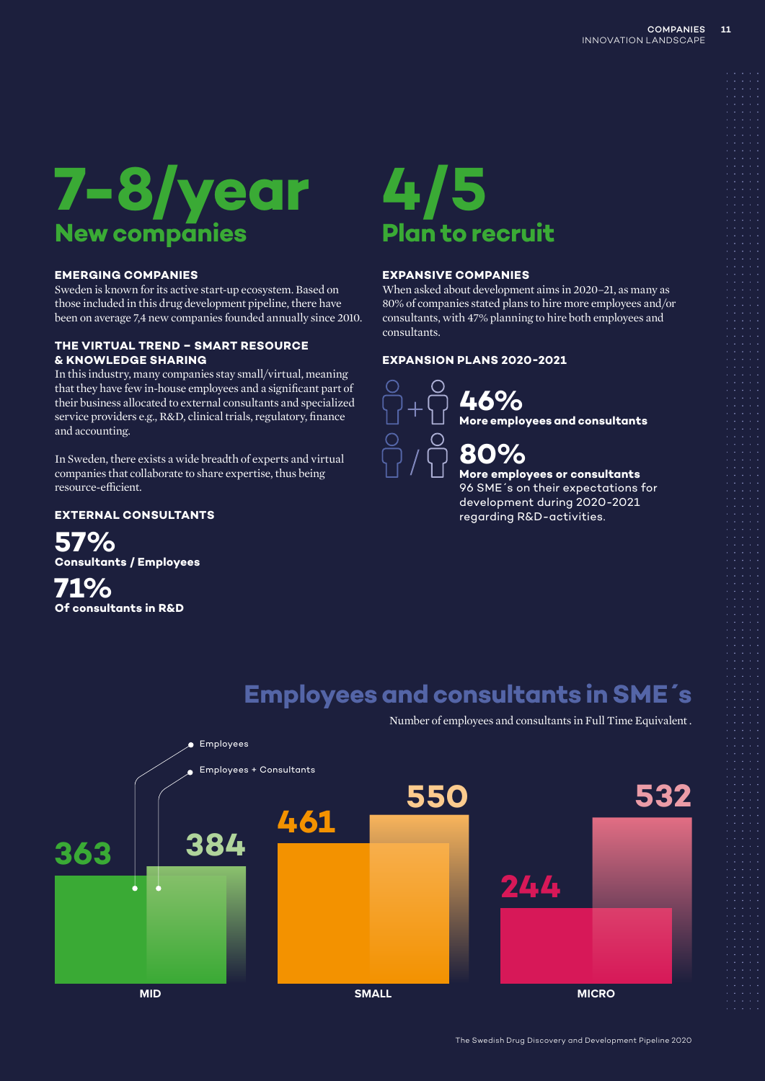

### **EMERGING COMPANIES**

Sweden is known for its active start-up ecosystem. Based on those included in this drug development pipeline, there have been on average 7,4 new companies founded annually since 2010.

### **THE VIRTUAL TREND – SMART RESOURCE & KNOWLEDGE SHARING**

In this industry, many companies stay small/virtual, meaning that they have few in-house employees and a significant part of their business allocated to external consultants and specialized service providers e.g., R&D, clinical trials, regulatory, finance and accounting.

In Sweden, there exists a wide breadth of experts and virtual companies that collaborate to share expertise, thus being resource-efficient.

### **EXTERNAL CONSULTANTS**

**57% Consultants / Employees** 

**71% Of consultants in R&D**

# **4/5 Plan to recruit**

### **EXPANSIVE COMPANIES**

When asked about development aims in 2020–21, as many as 80% of companies stated plans to hire more employees and/or consultants, with 47% planning to hire both employees and consultants.

### **EXPANSION PLANS 2020-2021**



**46% More employees and consultants** 

**More employees or consultants**  96 SME´s on their expectations for development during 2020-2021 regarding R&D-activities.

### **Employees and consultants in SME´s**

Number of employees and consultants in Full Time Equivalent .

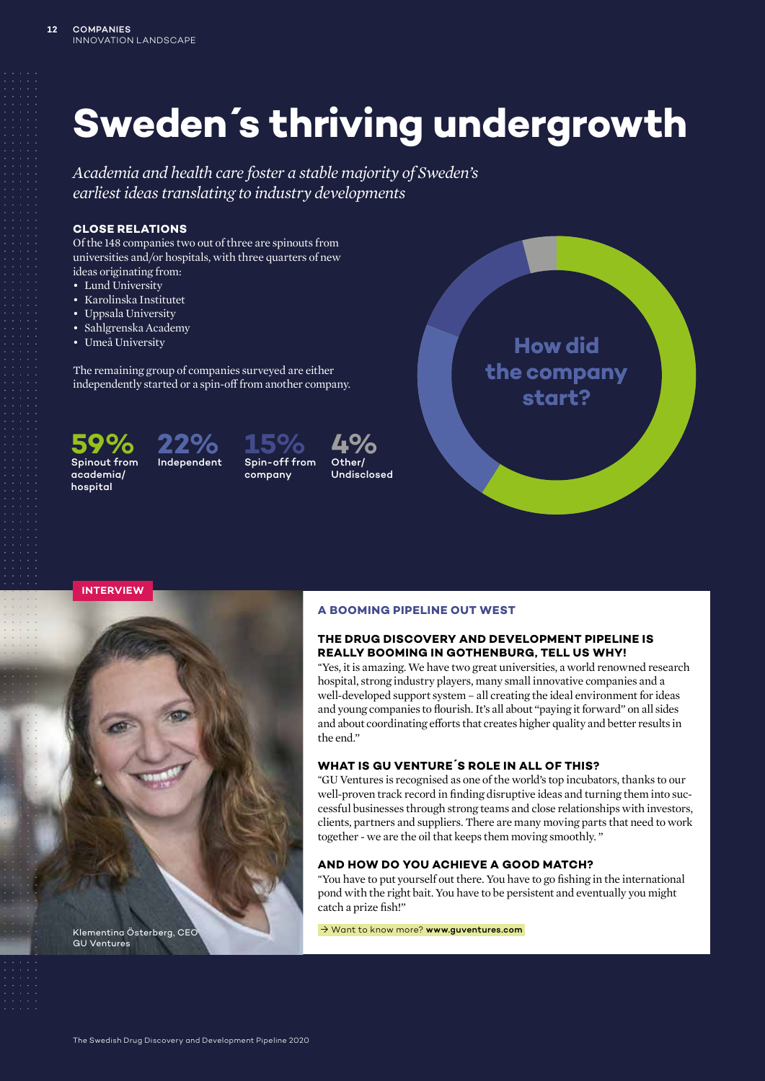# **Sweden´s thriving undergrowth**

*Academia and health care foster a stable majority of Sweden's earliest ideas translating to industry developments*

### **CLOSE RELATIONS**

Of the 148 companies two out of three are spinouts from universities and/or hospitals, with three quarters of new ideas originating from:

- Lund University
- Karolinska Institutet
- Uppsala University
- Sahlgrenska Academy
- Umeå University

The remaining group of companies surveyed are either independently started or a spin-off from another company.





Spin-off from company **4%** Other/

Undisclosed



**INTERVIEW**



GU Ventures

### **A BOOMING PIPELINE OUT WEST**

### **THE DRUG DISCOVERY AND DEVELOPMENT PIPELINE IS REALLY BOOMING IN GOTHENBURG, TELL US WHY!**

*"*Yes, it is amazing. We have two great universities, a world renowned research hospital, strong industry players, many small innovative companies and a well-developed support system – all creating the ideal environment for ideas and young companies to flourish. It's all about "paying it forward" on all sides and about coordinating efforts that creates higher quality and better results in the end."

### **WHAT IS GU VENTURE´S ROLE IN ALL OF THIS?**

*"*GU Ventures is recognised as one of the world's top incubators, thanks to our well-proven track record in finding disruptive ideas and turning them into successful businesses through strong teams and close relationships with investors, clients, partners and suppliers. There are many moving parts that need to work together - we are the oil that keeps them moving smoothly. "

### **AND HOW DO YOU ACHIEVE A GOOD MATCH?**

*"*You have to put yourself out there. You have to go fishing in the international pond with the right bait. You have to be persistent and eventually you might catch a prize fish!"

→ Want to know more? www.guventures.com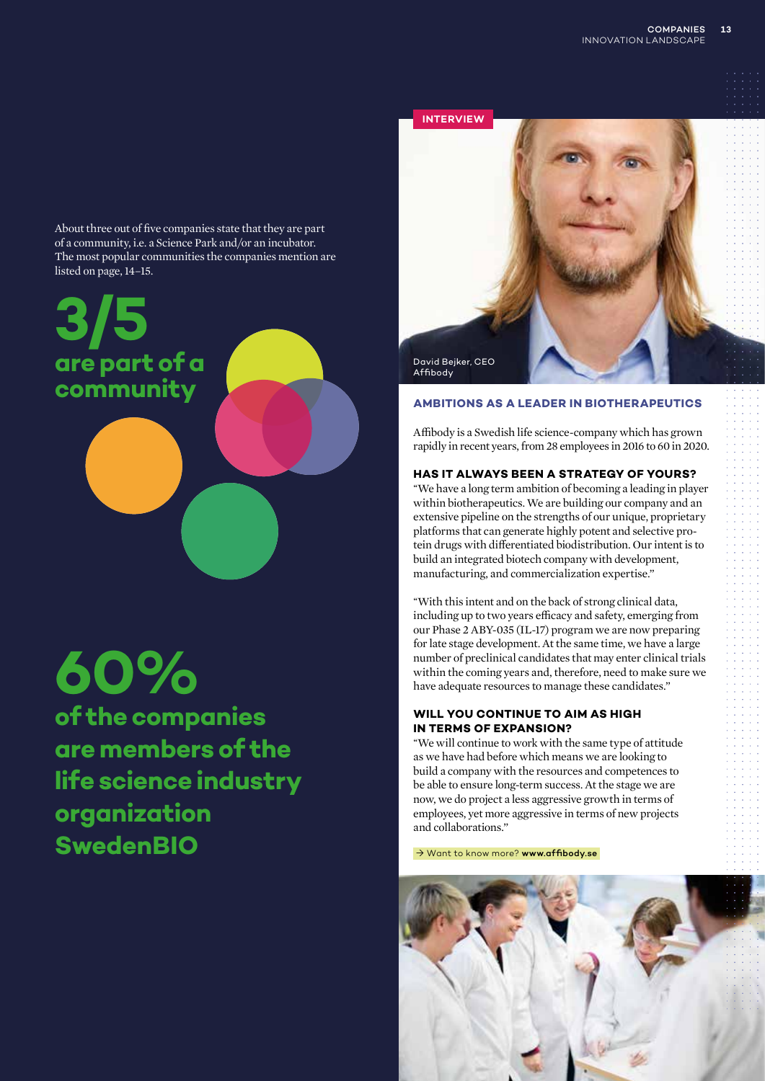About three out of five companies state that they are part of a community, i.e. a Science Park and/or an incubator. The most popular communities the companies mention are listed on page, 14–15.

**3/5 are part of a community**

# **60%**

**of the companies are members of the life science industry organization SwedenBIO**



### **AMBITIONS AS A LEADER IN BIOTHERAPEUTICS**

Affibody is a Swedish life science-company which has grown rapidly in recent years, from 28 employees in 2016 to 60 in 2020.

### **HAS IT ALWAYS BEEN A STRATEGY OF YOURS?**

*"*We have a long term ambition of becoming a leading in player within biotherapeutics. We are building our company and an extensive pipeline on the strengths of our unique, proprietary platforms that can generate highly potent and selective protein drugs with differentiated biodistribution. Our intent is to build an integrated biotech company with development, manufacturing, and commercialization expertise."

*"*With this intent and on the back of strong clinical data, including up to two years efficacy and safety, emerging from our Phase 2 ABY-035 (IL-17) program we are now preparing for late stage development. At the same time, we have a large number of preclinical candidates that may enter clinical trials within the coming years and, therefore, need to make sure we have adequate resources to manage these candidates."

### **WILL YOU CONTINUE TO AIM AS HIGH IN TERMS OF EXPANSION?**

*"*We will continue to work with the same type of attitude as we have had before which means we are looking to build a company with the resources and competences to be able to ensure long-term success. At the stage we are now, we do project a less aggressive growth in terms of employees, yet more aggressive in terms of new projects and collaborations."

→ Want to know more? www.affibody.se

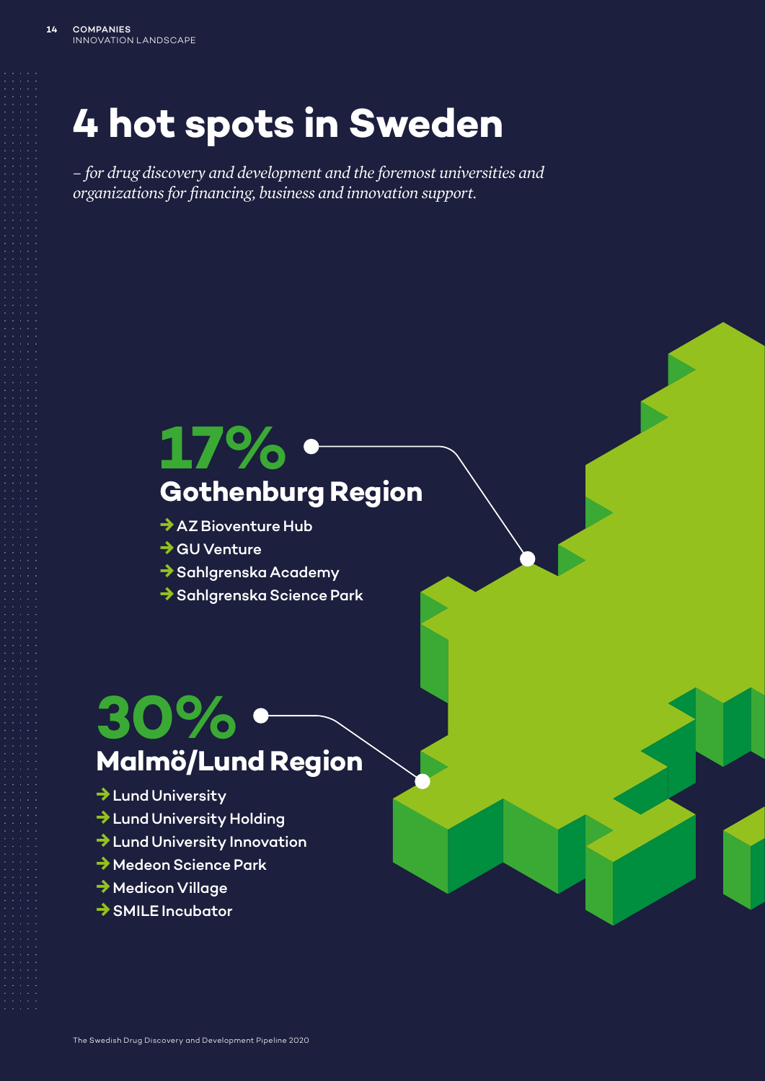# **4 hot spots in Sweden**

*– for drug discovery and development and the foremost universities and organizations for financing, business and innovation support.*

## **17% Gothenburg Region**

- **→**AZ Bioventure Hub
- **→**GU Venture
- **→**Sahlgrenska Academy
- **→**Sahlgrenska Science Park

## **30% Malmö/Lund Region**

- **→**Lund University
- **→**Lund University Holding
- **→**Lund University Innovation
- **→**Medeon Science Park
- **→**Medicon Village
- **→**SMILE Incubator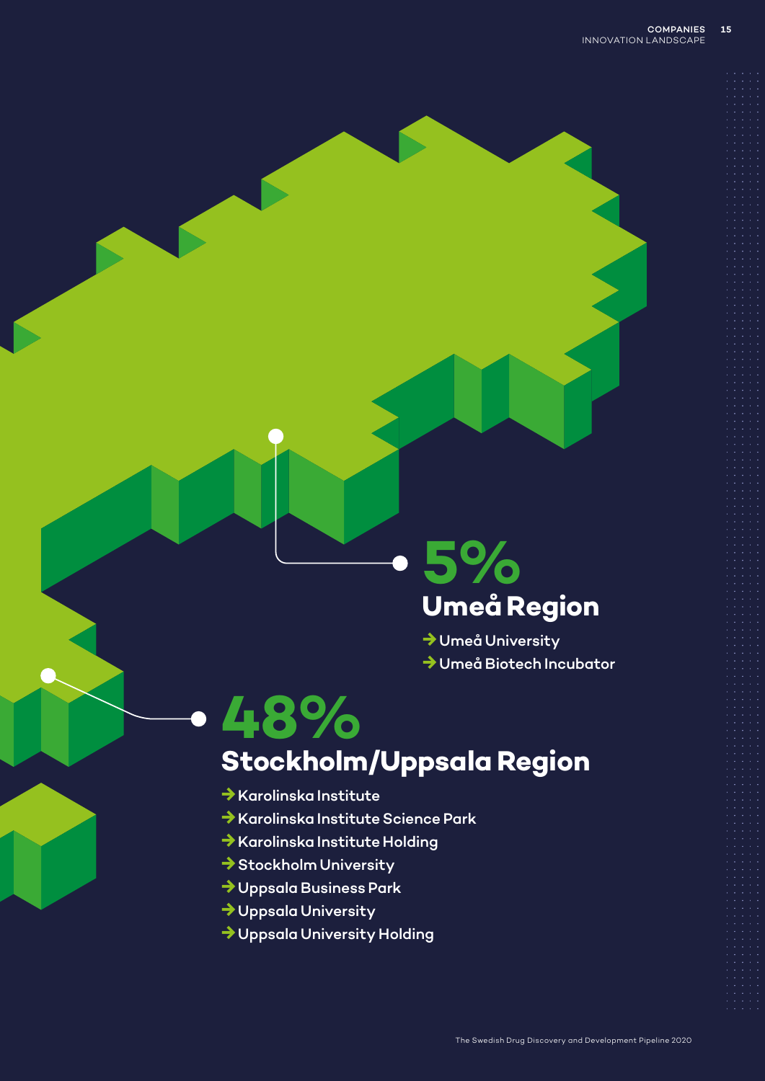# **5% Umeå Region**

**→**Umeå University **→**Umeå Biotech Incubator

## **48% Stockholm/Uppsala Region**

- **→**Karolinska Institute
- **→**Karolinska Institute Science Park
- **→**Karolinska Institute Holding
- **→**Stockholm University
- **→**Uppsala Business Park
- **→**Uppsala University
- **→**Uppsala University Holding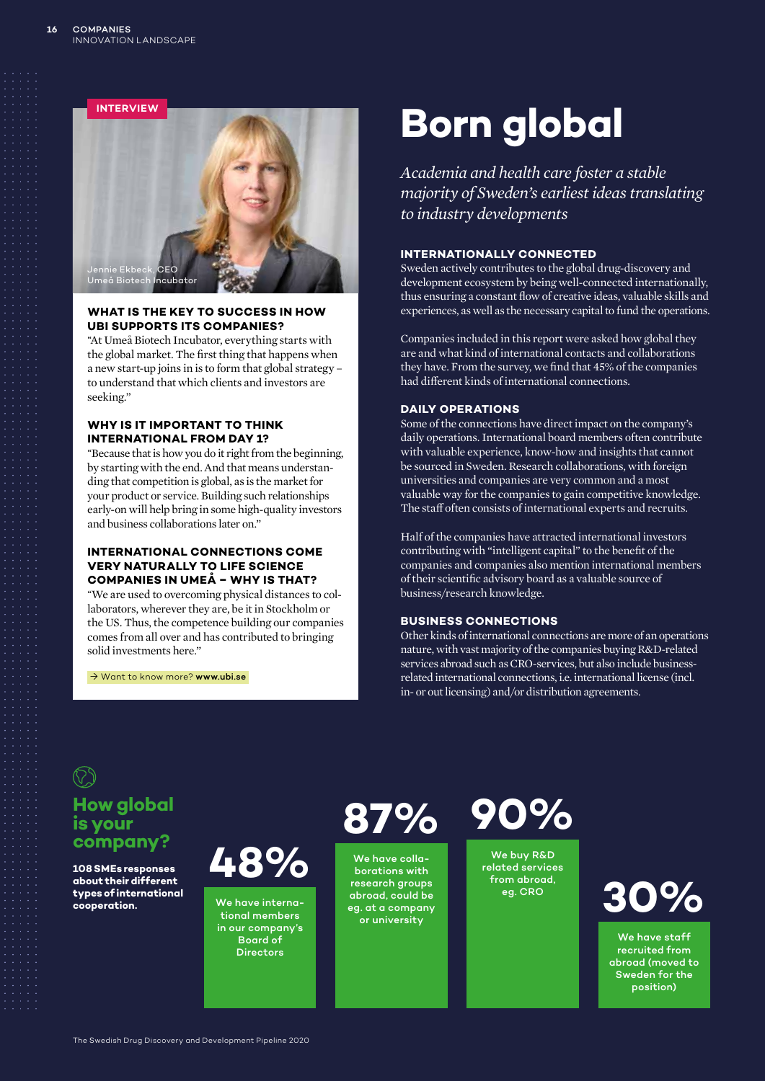

### **WHAT IS THE KEY TO SUCCESS IN HOW UBI SUPPORTS ITS COMPANIES?**

*"*At Umeå Biotech Incubator, everything starts with the global market. The first thing that happens when a new start-up joins in is to form that global strategy – to understand that which clients and investors are seeking."

### **WHY IS IT IMPORTANT TO THINK INTERNATIONAL FROM DAY 1?**

*"*Because that is how you do it right from the beginning, by starting with the end. And that means understanding that competition is global, as is the market for your product or service. Building such relationships early-on will help bring in some high-quality investors and business collaborations later on."

### **INTERNATIONAL CONNECTIONS COME VERY NATURALLY TO LIFE SCIENCE COMPANIES IN UMEÅ – WHY IS THAT?**

*"*We are used to overcoming physical distances to collaborators, wherever they are, be it in Stockholm or the US. Thus, the competence building our companies comes from all over and has contributed to bringing solid investments here."

→ Want to know more? www.ubi.se

# **Born global**

*Academia and health care foster a stable majority of Sweden's earliest ideas translating to industry developments*

### **INTERNATIONALLY CONNECTED**

Sweden actively contributes to the global drug-discovery and development ecosystem by being well-connected internationally, thus ensuring a constant flow of creative ideas, valuable skills and experiences, as well as the necessary capital to fund the operations.

Companies included in this report were asked how global they are and what kind of international contacts and collaborations they have. From the survey, we find that 45% of the companies had different kinds of international connections.

### **DAILY OPERATIONS**

Some of the connections have direct impact on the company's daily operations. International board members often contribute with valuable experience, know-how and insights that cannot be sourced in Sweden. Research collaborations, with foreign universities and companies are very common and a most valuable way for the companies to gain competitive knowledge. The staff often consists of international experts and recruits.

Half of the companies have attracted international investors contributing with "intelligent capital" to the benefit of the companies and companies also mention international members of their scientific advisory board as a valuable source of business/research knowledge.

### **BUSINESS CONNECTIONS**

Other kinds of international connections are more of an operations nature, with vast majority of the companies buying R&D-related services abroad such as CRO-services, but also include businessrelated international connections, i.e. international license (incl. in- or out licensing) and/or distribution agreements.

**How global is your company?**

**108 SMEs responses about their different types of international cooperation.**

**48%**

We have international members in our company's Board of **Directors** 

**87%**

We have collaborations with research groups abroad, could be eg. at a company or university

**90%**

We buy R&D related services from abroad, eg. CRO



We have staff recruited from abroad (moved to Sweden for the position)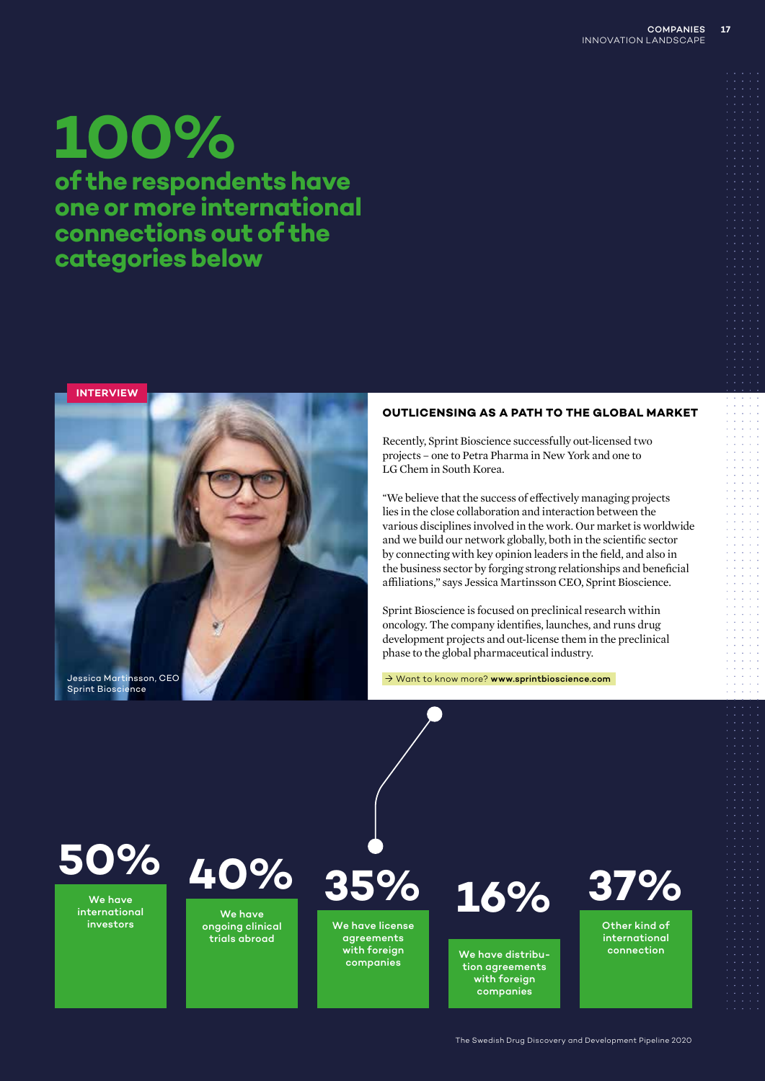# **100%**

**of the respondents have one or more international connections out of the categories below**

**INTERVIEW**



### **OUTLICENSING AS A PATH TO THE GLOBAL MARKET**

Recently, Sprint Bioscience successfully out-licensed two projects – one to Petra Pharma in New York and one to LG Chem in South Korea.

*"*We believe that the success of effectively managing projects lies in the close collaboration and interaction between the various disciplines involved in the work. Our market is worldwide and we build our network globally, both in the scientific sector by connecting with key opinion leaders in the field, and also in the business sector by forging strong relationships and beneficial affiliations," says Jessica Martinsson CEO, Sprint Bioscience.

Sprint Bioscience is focused on preclinical research within oncology. The company identifies, launches, and runs drug development projects and out-license them in the preclinical phase to the global pharmaceutical industry.

→ Want to know more? www.sprintbioscience.com

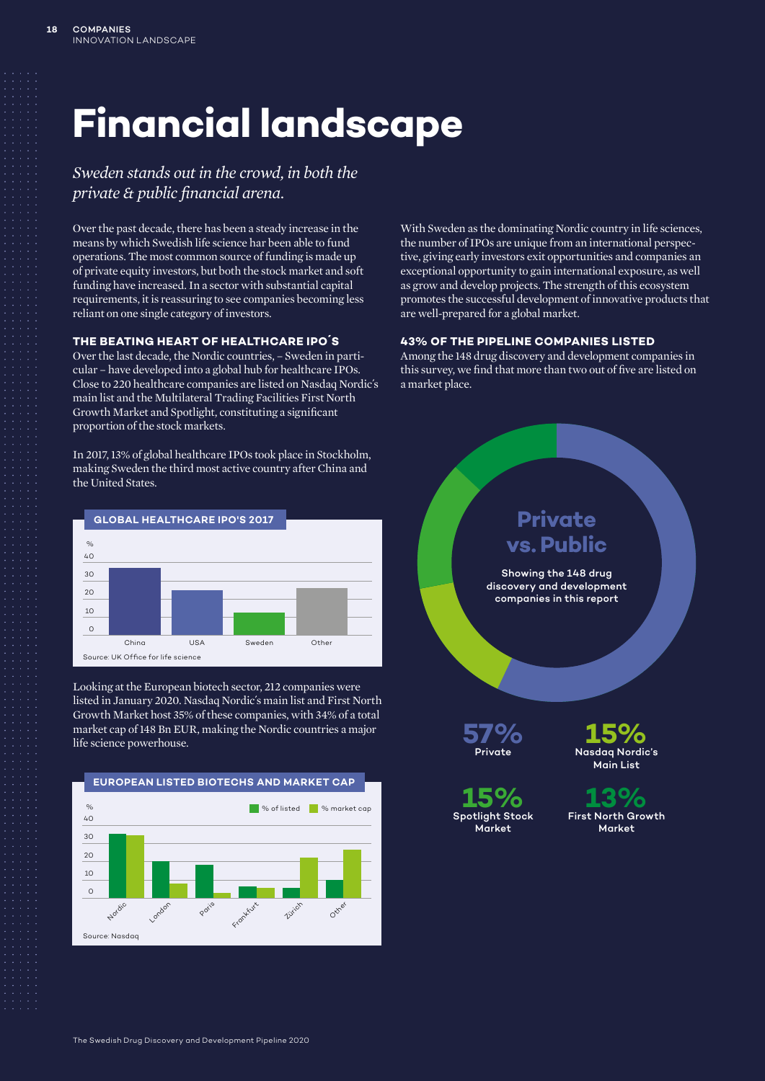# **Financial landscape**

*Sweden stands out in the crowd, in both the private & public financial arena.*

Over the past decade, there has been a steady increase in the means by which Swedish life science har been able to fund operations. The most common source of funding is made up of private equity investors, but both the stock market and soft funding have increased. In a sector with substantial capital requirements, it is reassuring to see companies becoming less reliant on one single category of investors.

### **THE BEATING HEART OF HEALTHCARE IPO´S**

Over the last decade, the Nordic countries, – Sweden in particular – have developed into a global hub for healthcare IPOs. Close to 220 healthcare companies are listed on Nasdaq Nordic´s main list and the Multilateral Trading Facilities First North Growth Market and Spotlight, constituting a significant proportion of the stock markets.

In 2017, 13% of global healthcare IPOs took place in Stockholm, making Sweden the third most active country after China and the United States.



Looking at the European biotech sector, 212 companies were listed in January 2020. Nasdaq Nordic´s main list and First North Growth Market host 35% of these companies, with 34% of a total market cap of 148 Bn EUR, making the Nordic countries a major life science powerhouse.



With Sweden as the dominating Nordic country in life sciences, the number of IPOs are unique from an international perspective, giving early investors exit opportunities and companies an exceptional opportunity to gain international exposure, as well as grow and develop projects. The strength of this ecosystem promotes the successful development of innovative products that are well-prepared for a global market.

#### **43% OF THE PIPELINE COMPANIES LISTED**

Among the 148 drug discovery and development companies in this survey, we find that more than two out of five are listed on a market place.

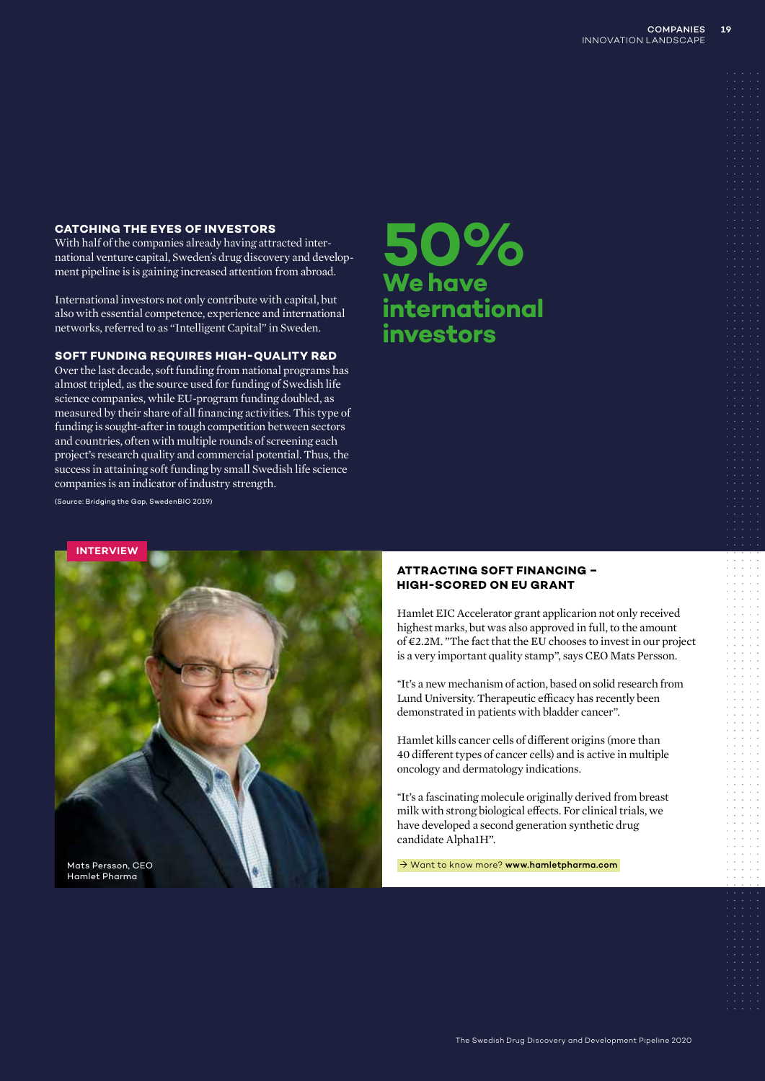### **CATCHING THE EYES OF INVESTORS**

With half of the companies already having attracted international venture capital, Sweden´s drug discovery and development pipeline is is gaining increased attention from abroad.

International investors not only contribute with capital, but also with essential competence, experience and international networks, referred to as "Intelligent Capital" in Sweden.

### **SOFT FUNDING REQUIRES HIGH-QUALITY R&D**

Over the last decade, soft funding from national programs has almost tripled, as the source used for funding of Swedish life science companies, while EU-program funding doubled, as measured by their share of all financing activities. This type of funding is sought-after in tough competition between sectors and countries, often with multiple rounds of screening each project's research quality and commercial potential. Thus, the success in attaining soft funding by small Swedish life science companies is an indicator of industry strength.

**50% We have international investors**

(Source: Bridging the Gap, SwedenBIO 2019)

### **ATTRACTING SOFT FINANCING – HIGH-SCORED ON EU GRANT**

Hamlet EIC Accelerator grant applicarion not only received highest marks, but was also approved in full, to the amount of €2.2M. "The fact that the EU chooses to invest in our project is a very important quality stamp", says CEO Mats Persson.

*"*It's a new mechanism of action, based on solid research from Lund University. Therapeutic efficacy has recently been demonstrated in patients with bladder cancer".

Hamlet kills cancer cells of different origins (more than 40 different types of cancer cells) and is active in multiple oncology and dermatology indications.

*"*It's a fascinating molecule originally derived from breast milk with strong biological effects. For clinical trials, we have developed a second generation synthetic drug candidate Alpha1H".

→ Want to know more? www.hamletpharma.com

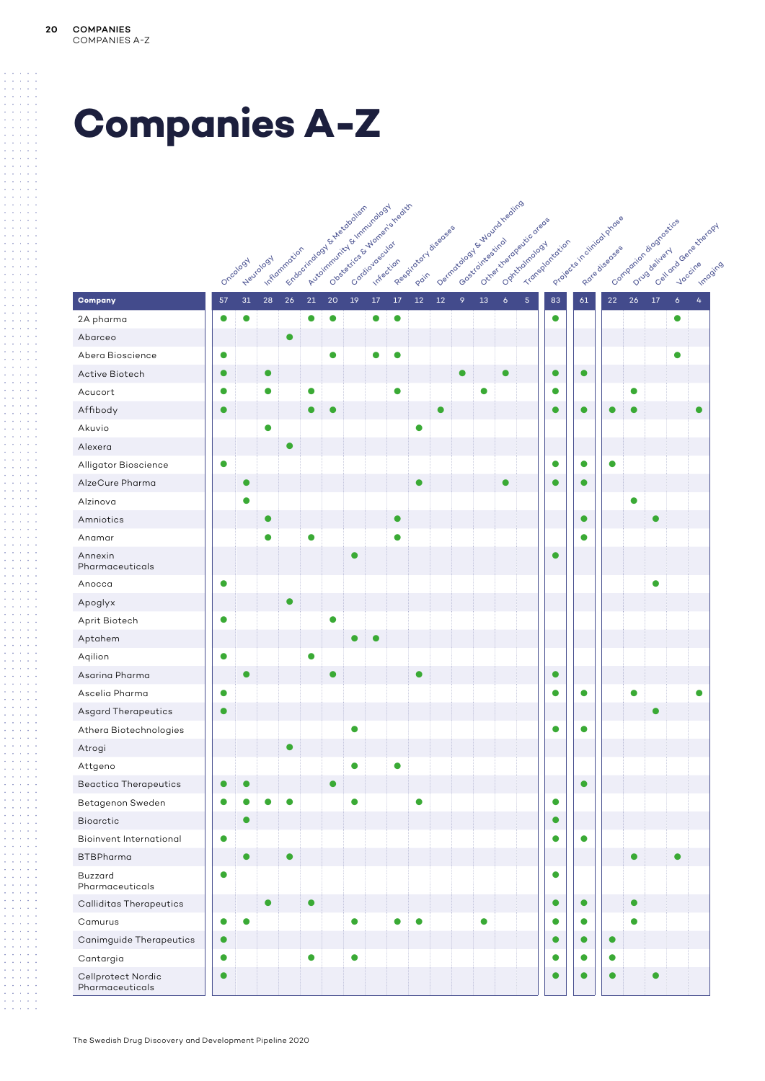# **Companies A-Z**

|                                       |           |           |           |              | Automntwitte & Inniburgious<br>Frabacitologista Autocolista |           |           | Observative By Mortens health |           |           | Reposition of diseases |           |           | Demonstration of the direction<br>Outre the deeperticatede |                |                |           | Projects in direct proces |           | Contraction adoptosities<br>Calland Gene stretory |                 |
|---------------------------------------|-----------|-----------|-----------|--------------|-------------------------------------------------------------|-----------|-----------|-------------------------------|-----------|-----------|------------------------|-----------|-----------|------------------------------------------------------------|----------------|----------------|-----------|---------------------------|-----------|---------------------------------------------------|-----------------|
|                                       |           |           |           | Inflammation |                                                             |           |           |                               |           |           |                        |           |           |                                                            |                | Transportation |           |                           |           |                                                   |                 |
|                                       |           | Oncology  | Neurology |              |                                                             |           |           |                               |           |           |                        |           |           |                                                            |                |                |           |                           |           |                                                   |                 |
| Company                               | 57        | 31        | 28        | 26           | 21                                                          | 20        | 19        | $17\,$                        | $17\,$    | 12        | 12                     | 9         | 13        | $\ddot{\delta}$                                            | $\overline{5}$ | 83             | 61        | $22\,$                    | 26        | 17                                                | $\ddot{\delta}$ |
| 2A pharma                             | $\bullet$ | $\bullet$ |           |              | $\bullet$                                                   | $\bullet$ |           | $\bullet$                     | $\bullet$ |           |                        |           |           |                                                            |                | $\bullet$      |           |                           |           |                                                   | $\bullet$       |
| Abarceo                               |           |           |           | $\bullet$    |                                                             |           |           |                               |           |           |                        |           |           |                                                            |                |                |           |                           |           |                                                   |                 |
| Abera Bioscience                      | $\bullet$ |           |           |              |                                                             | $\bullet$ |           | 0                             | $\bullet$ |           |                        |           |           |                                                            |                |                |           |                           |           |                                                   | $\bullet$       |
| Active Biotech                        | $\bullet$ |           | $\bullet$ |              |                                                             |           |           |                               |           |           |                        | $\bullet$ |           | $\bullet$                                                  |                | $\bullet$      | $\bullet$ |                           |           |                                                   |                 |
| Acucort                               | $\bullet$ |           | $\bullet$ |              | $\bullet$                                                   |           |           |                               | $\bullet$ |           |                        |           | $\bullet$ |                                                            |                | $\bullet$      |           |                           | $\bullet$ |                                                   |                 |
| Affibody                              | $\bullet$ |           |           |              | $\bullet$                                                   | ●         |           |                               |           |           | $\bullet$              |           |           |                                                            |                | $\bullet$      | $\bullet$ | $\bullet$                 | $\bullet$ |                                                   |                 |
| Akuvio                                |           |           | $\bullet$ |              |                                                             |           |           |                               |           | $\bullet$ |                        |           |           |                                                            |                |                |           |                           |           |                                                   |                 |
| Alexera                               |           |           |           | $\bullet$    |                                                             |           |           |                               |           |           |                        |           |           |                                                            |                |                |           |                           |           |                                                   |                 |
| Alligator Bioscience                  | $\bullet$ |           |           |              |                                                             |           |           |                               |           |           |                        |           |           |                                                            |                | $\bullet$      | $\bullet$ | $\bullet$                 |           |                                                   |                 |
| AlzeCure Pharma                       |           | $\bullet$ |           |              |                                                             |           |           |                               |           | ▲         |                        |           |           | $\bullet$                                                  |                | $\bullet$      | $\bullet$ |                           |           |                                                   |                 |
| Alzinova                              |           | $\bullet$ |           |              |                                                             |           |           |                               |           |           |                        |           |           |                                                            |                |                |           |                           | $\bullet$ |                                                   |                 |
| Amniotics                             |           |           | $\bullet$ |              |                                                             |           |           |                               | $\bullet$ |           |                        |           |           |                                                            |                |                | $\bullet$ |                           |           | $\bullet$                                         |                 |
| Anamar                                |           |           | $\bullet$ |              | $\bullet$                                                   |           |           |                               | $\bullet$ |           |                        |           |           |                                                            |                |                | $\bullet$ |                           |           |                                                   |                 |
| Annexin<br>Pharmaceuticals            |           |           |           |              |                                                             |           | $\bullet$ |                               |           |           |                        |           |           |                                                            |                | $\bullet$      |           |                           |           |                                                   |                 |
| Anocca                                | $\bullet$ |           |           |              |                                                             |           |           |                               |           |           |                        |           |           |                                                            |                |                |           |                           |           | $\bullet$                                         |                 |
| Apoglyx                               |           |           |           | $\bullet$    |                                                             |           |           |                               |           |           |                        |           |           |                                                            |                |                |           |                           |           |                                                   |                 |
| Aprit Biotech                         | $\bullet$ |           |           |              |                                                             | $\bullet$ |           |                               |           |           |                        |           |           |                                                            |                |                |           |                           |           |                                                   |                 |
| Aptahem                               |           |           |           |              |                                                             |           | $\bullet$ | O                             |           |           |                        |           |           |                                                            |                |                |           |                           |           |                                                   |                 |
| Aqilion                               | $\bullet$ |           |           |              | 0                                                           |           |           |                               |           |           |                        |           |           |                                                            |                |                |           |                           |           |                                                   |                 |
| Asarina Pharma                        |           | $\bullet$ |           |              |                                                             | $\bullet$ |           |                               |           | ●         |                        |           |           |                                                            |                | $\bullet$      |           |                           |           |                                                   |                 |
| Ascelia Pharma                        | $\bullet$ |           |           |              |                                                             |           |           |                               |           |           |                        |           |           |                                                            |                | $\bullet$      | $\bullet$ |                           | $\bullet$ |                                                   |                 |
| <b>Asgard Therapeutics</b>            | $\bullet$ |           |           |              |                                                             |           |           |                               |           |           |                        |           |           |                                                            |                |                |           |                           |           | $\bullet$                                         |                 |
| Athera Biotechnologies                |           |           |           |              |                                                             |           | $\bullet$ |                               |           |           |                        |           |           |                                                            |                | $\bullet$      | $\bullet$ |                           |           |                                                   |                 |
| Atrogi                                |           |           |           | $\bullet$    |                                                             |           |           |                               |           |           |                        |           |           |                                                            |                |                |           |                           |           |                                                   |                 |
| Attgeno                               |           |           |           |              |                                                             |           | $\bullet$ |                               | $\bullet$ |           |                        |           |           |                                                            |                |                |           |                           |           |                                                   |                 |
| <b>Beactica Therapeutics</b>          | $\bullet$ | $\bullet$ |           |              |                                                             | $\bullet$ |           |                               |           |           |                        |           |           |                                                            |                |                | $\bullet$ |                           |           |                                                   |                 |
| Betagenon Sweden                      | $\bullet$ | $\bullet$ | ●         | $\bullet$    |                                                             |           | $\bullet$ |                               |           | $\bullet$ |                        |           |           |                                                            |                | $\bullet$      |           |                           |           |                                                   |                 |
| Bioarctic                             |           | $\bullet$ |           |              |                                                             |           |           |                               |           |           |                        |           |           |                                                            |                | $\bullet$      |           |                           |           |                                                   |                 |
| <b>Bioinvent International</b>        | $\bullet$ |           |           |              |                                                             |           |           |                               |           |           |                        |           |           |                                                            |                | $\bullet$      | $\bullet$ |                           |           |                                                   |                 |
| <b>BTBPharma</b>                      |           | $\bullet$ |           | $\bullet$    |                                                             |           |           |                               |           |           |                        |           |           |                                                            |                |                |           |                           | $\bullet$ |                                                   | $\bullet$       |
| Buzzard<br>Pharmaceuticals            | $\bullet$ |           |           |              |                                                             |           |           |                               |           |           |                        |           |           |                                                            |                | $\bullet$      |           |                           |           |                                                   |                 |
| <b>Calliditas Therapeutics</b>        |           |           | $\bullet$ |              | $\bullet$                                                   |           |           |                               |           |           |                        |           |           |                                                            |                | $\bullet$      | $\bullet$ |                           | $\bullet$ |                                                   |                 |
| Camurus                               | $\bullet$ | $\bullet$ |           |              |                                                             |           | $\bullet$ |                               | $\bullet$ | $\bullet$ |                        |           | $\bullet$ |                                                            |                | $\bullet$      | $\bullet$ |                           | $\bullet$ |                                                   |                 |
| Canimguide Therapeutics               | $\bullet$ |           |           |              |                                                             |           |           |                               |           |           |                        |           |           |                                                            |                | $\bullet$      | $\bullet$ | $\bullet$                 |           |                                                   |                 |
| Cantargia                             | $\bullet$ |           |           |              | $\bullet$                                                   |           | $\bullet$ |                               |           |           |                        |           |           |                                                            |                | $\bullet$      | $\bullet$ | $\bullet$                 |           |                                                   |                 |
| Cellprotect Nordic<br>Pharmaceuticals | $\bullet$ |           |           |              |                                                             |           |           |                               |           |           |                        |           |           |                                                            |                | C              | $\bullet$ | $\bullet$                 |           | $\bullet$                                         |                 |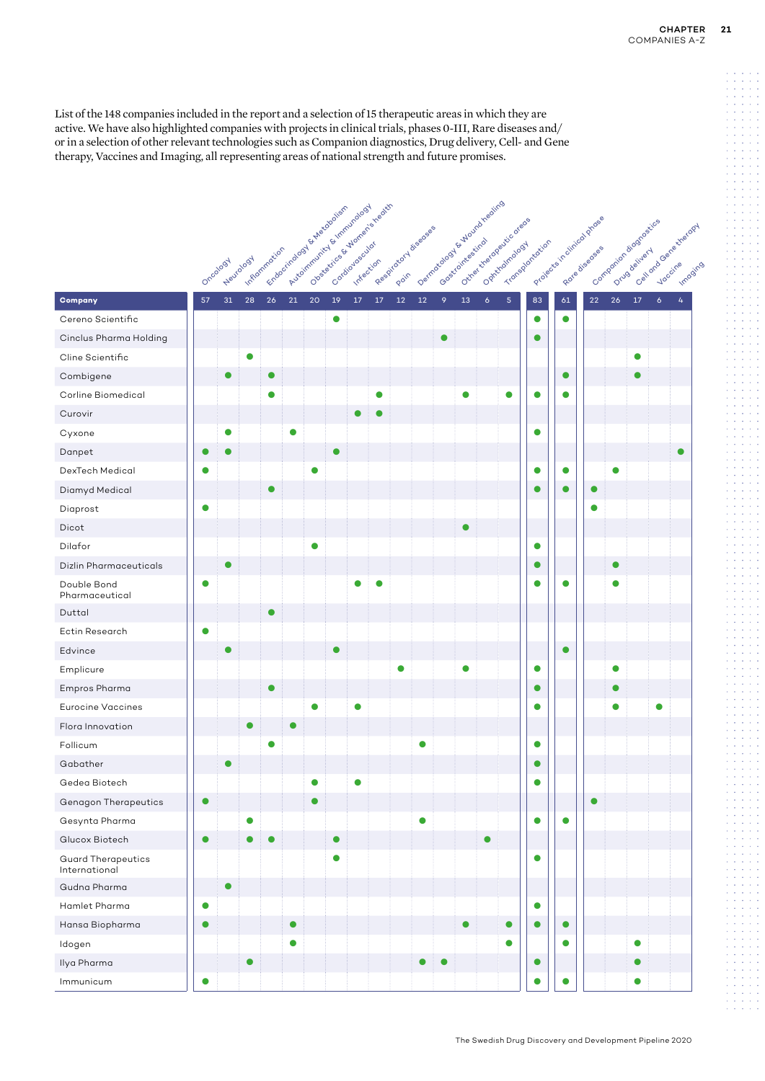List of the 148 companies included in the report and a selection of 15 therapeutic areas in which they are active. We have also highlighted companies with projects in clinical trials, phases 0-III, Rare diseases and/ or in a selection of other relevant technologies such as Companion diagnostics, Drug delivery, Cell- and Gene therapy, Vaccines and Imaging, all representing areas of national strength and future promises.

|                                            |           |           |                           |           |                                                          |      |           |    | Overaging & Mortons headth |                     |           |           |           |                                                           |            |                |                           |            |           |                                                    |                  |  |
|--------------------------------------------|-----------|-----------|---------------------------|-----------|----------------------------------------------------------|------|-----------|----|----------------------------|---------------------|-----------|-----------|-----------|-----------------------------------------------------------|------------|----------------|---------------------------|------------|-----------|----------------------------------------------------|------------------|--|
|                                            |           |           |                           |           | Automntwitter & Hommelook<br>Frazocitologista experience |      |           |    |                            | Registered diseases |           |           |           | Demmacagooy superior Anglico<br>Outre the deeperticate of |            |                | Projects in chineca phose |            |           | Contraction adoptosities<br>Calland Generations of |                  |  |
|                                            |           |           |                           |           |                                                          |      |           |    |                            |                     |           |           |           |                                                           |            |                |                           |            |           |                                                    |                  |  |
|                                            |           | Oncology  | Inflammation<br>Neurology |           |                                                          |      |           |    |                            |                     |           |           |           |                                                           |            | Transportation |                           |            |           |                                                    |                  |  |
| Company                                    | 57        | 31        | 28                        | 26        | $21\,$                                                   | $20$ | 19        | 17 | 17                         | 12                  | 12        | 9         | 13        | $\boldsymbol{6}$                                          | $\sqrt{5}$ | 83             | 61                        | ${\bf 22}$ | 26        | $17\,$                                             | $\boldsymbol{6}$ |  |
| Cereno Scientific                          |           |           |                           |           |                                                          |      | $\bullet$ |    |                            |                     |           |           |           |                                                           |            | $\bullet$      | $\bullet$                 |            |           |                                                    |                  |  |
| Cinclus Pharma Holding                     |           |           |                           |           |                                                          |      |           |    |                            |                     |           | $\bullet$ |           |                                                           |            | $\bullet$      |                           |            |           |                                                    |                  |  |
| Cline Scientific                           |           |           | 0                         |           |                                                          |      |           |    |                            |                     |           |           |           |                                                           |            |                |                           |            |           | 0                                                  |                  |  |
| Combigene                                  |           | c         |                           | $\bullet$ |                                                          |      |           |    |                            |                     |           |           |           |                                                           |            |                | $\bullet$                 |            |           | 0                                                  |                  |  |
| Corline Biomedical                         |           |           |                           |           |                                                          |      |           |    |                            |                     |           |           | 0         |                                                           | 0          | O              | $\bullet$                 |            |           |                                                    |                  |  |
| Curovir                                    |           |           |                           |           |                                                          |      |           |    |                            |                     |           |           |           |                                                           |            |                |                           |            |           |                                                    |                  |  |
| Cyxone                                     |           | c         |                           |           |                                                          |      |           |    |                            |                     |           |           |           |                                                           |            | $\bullet$      |                           |            |           |                                                    |                  |  |
| Danpet                                     |           |           |                           |           |                                                          |      | $\bullet$ |    |                            |                     |           |           |           |                                                           |            |                |                           |            |           |                                                    |                  |  |
| DexTech Medical                            | 0         |           |                           |           |                                                          | 0    |           |    |                            |                     |           |           |           |                                                           |            | $\bullet$      | $\bullet$                 |            | $\bullet$ |                                                    |                  |  |
| Diamyd Medical                             |           |           |                           |           |                                                          |      |           |    |                            |                     |           |           |           |                                                           |            | 0              | $\bullet$                 | $\bullet$  |           |                                                    |                  |  |
| Diaprost                                   | $\bullet$ |           |                           |           |                                                          |      |           |    |                            |                     |           |           |           |                                                           |            |                |                           | $\bullet$  |           |                                                    |                  |  |
| Dicot                                      |           |           |                           |           |                                                          |      |           |    |                            |                     |           |           | $\bullet$ |                                                           |            |                |                           |            |           |                                                    |                  |  |
| Dilafor                                    |           |           |                           |           |                                                          |      |           |    |                            |                     |           |           |           |                                                           |            | $\bullet$      |                           |            |           |                                                    |                  |  |
| <b>Dizlin Pharmaceuticals</b>              |           |           |                           |           |                                                          |      |           |    |                            |                     |           |           |           |                                                           |            | $\bullet$      |                           |            | $\bullet$ |                                                    |                  |  |
| Double Bond<br>Pharmaceutical              | 0         |           |                           |           |                                                          |      |           |    |                            |                     |           |           |           |                                                           |            | $\bullet$      | $\bullet$                 |            | O         |                                                    |                  |  |
| Duttal                                     |           |           |                           |           |                                                          |      |           |    |                            |                     |           |           |           |                                                           |            |                |                           |            |           |                                                    |                  |  |
| Ectin Research                             | $\bullet$ |           |                           |           |                                                          |      |           |    |                            |                     |           |           |           |                                                           |            |                |                           |            |           |                                                    |                  |  |
| Edvince                                    |           |           |                           |           |                                                          |      | 0         |    |                            |                     |           |           |           |                                                           |            |                | $\bullet$                 |            |           |                                                    |                  |  |
| Emplicure                                  |           |           |                           |           |                                                          |      |           |    |                            |                     |           |           | Ο         |                                                           |            | $\bullet$      |                           |            | O         |                                                    |                  |  |
| Empros Pharma                              |           |           |                           |           |                                                          |      |           |    |                            |                     |           |           |           |                                                           |            | $\bullet$      |                           |            | C         |                                                    |                  |  |
| <b>Eurocine Vaccines</b>                   |           |           |                           |           |                                                          |      |           | 0  |                            |                     |           |           |           |                                                           |            | $\bullet$      |                           |            | O         |                                                    | O                |  |
| Flora Innovation                           |           |           | $\bullet$                 |           |                                                          |      |           |    |                            |                     |           |           |           |                                                           |            |                |                           |            |           |                                                    |                  |  |
| Follicum                                   |           |           |                           | O         |                                                          |      |           |    |                            |                     | $\bullet$ |           |           |                                                           |            | $\bullet$      |                           |            |           |                                                    |                  |  |
| Gabather                                   |           |           |                           |           |                                                          |      |           |    |                            |                     |           |           |           |                                                           |            | 0              |                           |            |           |                                                    |                  |  |
| Gedea Biotech                              |           |           |                           |           |                                                          |      |           |    |                            |                     |           |           |           |                                                           |            | 0              |                           |            |           |                                                    |                  |  |
| <b>Genagon Therapeutics</b>                | $\bullet$ |           |                           |           |                                                          |      |           |    |                            |                     |           |           |           |                                                           |            |                |                           | $\bullet$  |           |                                                    |                  |  |
| Gesynta Pharma                             |           |           | $\bullet$                 |           |                                                          |      |           |    |                            |                     | $\bullet$ |           |           |                                                           |            | $\bullet$      | $\bullet$                 |            |           |                                                    |                  |  |
| Glucox Biotech                             | $\bullet$ |           | $\bullet$                 | $\bullet$ |                                                          |      | $\bullet$ |    |                            |                     |           |           |           | $\bullet$                                                 |            |                |                           |            |           |                                                    |                  |  |
| <b>Guard Therapeutics</b><br>International |           |           |                           |           |                                                          |      | $\bullet$ |    |                            |                     |           |           |           |                                                           |            | $\bullet$      |                           |            |           |                                                    |                  |  |
| Gudna Pharma                               |           | $\bullet$ |                           |           |                                                          |      |           |    |                            |                     |           |           |           |                                                           |            |                |                           |            |           |                                                    |                  |  |
| Hamlet Pharma                              | $\bullet$ |           |                           |           |                                                          |      |           |    |                            |                     |           |           |           |                                                           |            | $\bullet$      |                           |            |           |                                                    |                  |  |
| Hansa Biopharma                            |           |           |                           |           | $\bullet$                                                |      |           |    |                            |                     |           |           | $\bullet$ |                                                           | $\bullet$  | $\bullet$      | $\bullet$                 |            |           |                                                    |                  |  |
| Idogen                                     |           |           |                           |           | $\bullet$                                                |      |           |    |                            |                     |           |           |           |                                                           | $\bullet$  |                | $\bullet$                 |            |           | $\bullet$                                          |                  |  |
| Ilya Pharma                                |           |           | $\bullet$                 |           |                                                          |      |           |    |                            |                     | $\bullet$ | $\bullet$ |           |                                                           |            | $\bullet$      |                           |            |           | $\bullet$                                          |                  |  |
| Immunicum                                  | $\bullet$ |           |                           |           |                                                          |      |           |    |                            |                     |           |           |           |                                                           |            | $\bullet$      |                           |            |           | $\bullet$                                          |                  |  |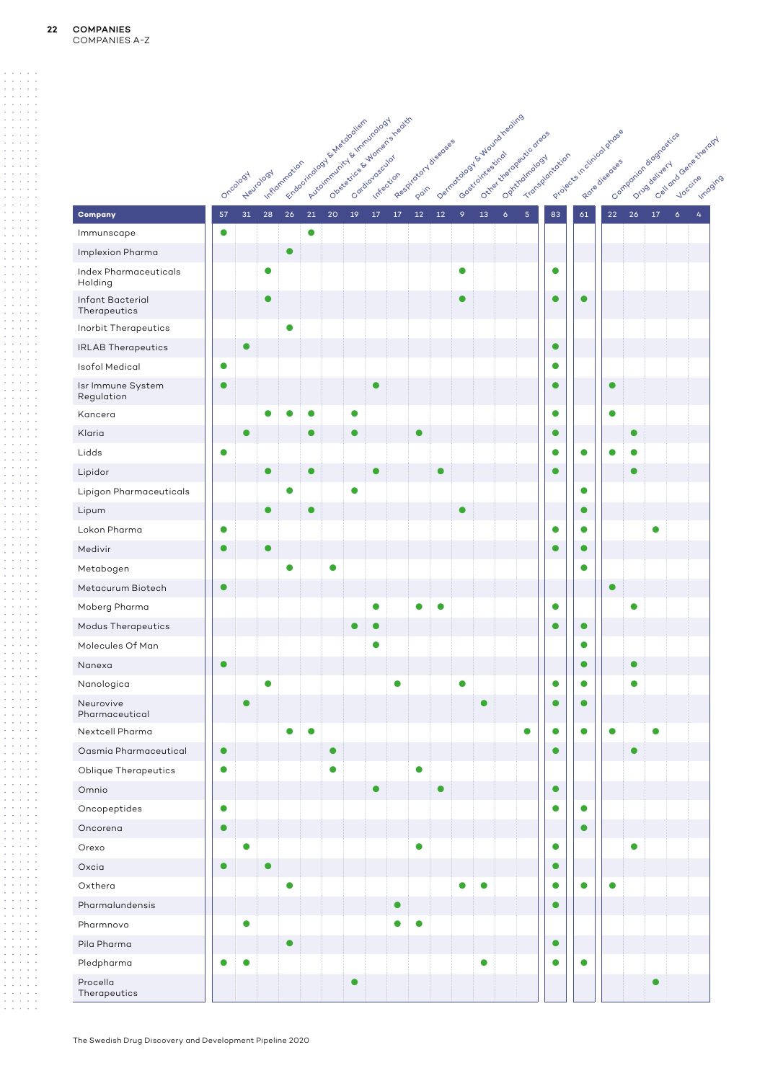|                                  |           |           |                |           | Automntwintfe Hammundoogy<br>Echoquinology & Nationalism |           |           | Observation & Bridge is treath |                       |           |           |           | Dominico do Si Alvania hieditio<br>Outre the deep diciodre ore of |                |           |           | Projects in direct proces |           | Contraction adoptosition | Calidraciona stratogy |   |
|----------------------------------|-----------|-----------|----------------|-----------|----------------------------------------------------------|-----------|-----------|--------------------------------|-----------------------|-----------|-----------|-----------|-------------------------------------------------------------------|----------------|-----------|-----------|---------------------------|-----------|--------------------------|-----------------------|---|
|                                  |           |           | I. r.Rommation |           |                                                          |           |           |                                | Registered diseaseses |           |           |           |                                                                   | Transportation |           |           |                           |           |                          |                       |   |
|                                  |           | Oncology  | Neurology      |           |                                                          |           |           |                                |                       |           |           |           |                                                                   |                |           |           |                           |           |                          |                       |   |
| Company                          | 57        | 31        | 28             | 26        | 21                                                       | 20        | 19<br>17  | $17$                           | 12                    | $12\,$    | 9         | 13        | $\delta$                                                          | 5 <sub>5</sub> | 83        | 61        | 22                        | 26        | $17$                     | $\mathbf 6$           | 4 |
| Immunscape                       | $\bullet$ |           |                |           | $\bullet$                                                |           |           |                                |                       |           |           |           |                                                                   |                |           |           |                           |           |                          |                       |   |
| Implexion Pharma                 |           |           |                | $\bullet$ |                                                          |           |           |                                |                       |           |           |           |                                                                   |                |           |           |                           |           |                          |                       |   |
| Index Pharmaceuticals<br>Holding |           |           | $\bullet$      |           |                                                          |           |           |                                |                       |           | 0         |           |                                                                   |                | $\bullet$ |           |                           |           |                          |                       |   |
| Infant Bacterial<br>Therapeutics |           |           | $\bullet$      |           |                                                          |           |           |                                |                       |           | $\bullet$ |           |                                                                   |                | $\bullet$ | $\bullet$ |                           |           |                          |                       |   |
| Inorbit Therapeutics             |           |           |                | 0         |                                                          |           |           |                                |                       |           |           |           |                                                                   |                |           |           |                           |           |                          |                       |   |
| <b>IRLAB Therapeutics</b>        |           | $\bullet$ |                |           |                                                          |           |           |                                |                       |           |           |           |                                                                   |                | $\bullet$ |           |                           |           |                          |                       |   |
| <b>Isofol Medical</b>            | $\bullet$ |           |                |           |                                                          |           |           |                                |                       |           |           |           |                                                                   |                | $\bullet$ |           |                           |           |                          |                       |   |
| Isr Immune System<br>Regulation  | $\bullet$ |           |                |           |                                                          |           |           | $\bullet$                      |                       |           |           |           |                                                                   |                | $\bullet$ |           | $\bullet$                 |           |                          |                       |   |
| Kancera                          |           |           | $\bullet$      | 0         | $\bullet$                                                |           | $\bullet$ |                                |                       |           |           |           |                                                                   |                | $\bullet$ |           | $\bullet$                 |           |                          |                       |   |
| Klaria                           |           | $\bullet$ |                |           | $\bullet$                                                |           | $\bullet$ |                                |                       |           |           |           |                                                                   |                | $\bullet$ |           |                           | $\bullet$ |                          |                       |   |
| Lidds                            | $\bullet$ |           |                |           |                                                          |           |           |                                |                       |           |           |           |                                                                   |                | $\bullet$ | $\bullet$ | $\bullet$                 | $\bullet$ |                          |                       |   |
| Lipidor                          |           |           | $\bullet$      |           | $\bullet$                                                |           |           | $\bullet$                      |                       | O         |           |           |                                                                   |                | $\bullet$ |           |                           | $\bullet$ |                          |                       |   |
| Lipigon Pharmaceuticals          |           |           |                | $\bullet$ |                                                          |           | $\bullet$ |                                |                       |           |           |           |                                                                   |                |           | 0         |                           |           |                          |                       |   |
| Lipum                            |           |           | $\bullet$      |           | $\bullet$                                                |           |           |                                |                       |           | 0         |           |                                                                   |                |           | $\bullet$ |                           |           |                          |                       |   |
| Lokon Pharma                     | $\bullet$ |           |                |           |                                                          |           |           |                                |                       |           |           |           |                                                                   |                | $\bullet$ | $\bullet$ |                           |           | $\bullet$                |                       |   |
| Medivir                          | $\bullet$ |           | $\bullet$      |           |                                                          |           |           |                                |                       |           |           |           |                                                                   |                | $\bullet$ | $\bullet$ |                           |           |                          |                       |   |
| Metabogen                        |           |           |                | $\bullet$ |                                                          | ●         |           |                                |                       |           |           |           |                                                                   |                |           | $\bullet$ |                           |           |                          |                       |   |
| Metacurum Biotech                | $\bullet$ |           |                |           |                                                          |           |           |                                |                       |           |           |           |                                                                   |                |           |           | $\bullet$                 |           |                          |                       |   |
| Moberg Pharma                    |           |           |                |           |                                                          |           | $\bullet$ |                                | Ο                     | $\bullet$ |           |           |                                                                   |                | $\bullet$ |           |                           | $\bullet$ |                          |                       |   |
| Modus Therapeutics               |           |           |                |           |                                                          |           | $\bullet$ | $\bullet$                      |                       |           |           |           |                                                                   |                | $\bullet$ | $\bullet$ |                           |           |                          |                       |   |
| Molecules Of Man                 |           |           |                |           |                                                          |           | $\bullet$ |                                |                       |           |           |           |                                                                   |                |           | $\bullet$ |                           |           |                          |                       |   |
| Nanexa                           | $\bullet$ |           |                |           |                                                          |           |           |                                |                       |           |           |           |                                                                   |                |           |           |                           | $\bullet$ |                          |                       |   |
| Nanologica                       |           |           | $\bullet$      |           |                                                          |           |           | $\bullet$                      |                       |           | $\bullet$ |           |                                                                   |                | $\bullet$ | $\bullet$ |                           | $\bullet$ |                          |                       |   |
| Neurovive<br>Pharmaceutical      |           | $\bullet$ |                |           |                                                          |           |           |                                |                       |           |           | $\bullet$ |                                                                   |                | $\bullet$ | $\bullet$ |                           |           |                          |                       |   |
| Nextcell Pharma                  |           |           |                | $\bullet$ | $\bullet$                                                |           |           |                                |                       |           |           |           |                                                                   | $\bullet$      | $\bullet$ | $\bullet$ | $\bullet$                 |           | $\bullet$                |                       |   |
| Oasmia Pharmaceutical            | $\bullet$ |           |                |           |                                                          | $\bullet$ |           |                                |                       |           |           |           |                                                                   |                | $\bullet$ |           |                           | $\bullet$ |                          |                       |   |
| Oblique Therapeutics             | $\bullet$ |           |                |           |                                                          | $\bullet$ |           |                                | $\bullet$             |           |           |           |                                                                   |                |           |           |                           |           |                          |                       |   |
| Omnio                            |           |           |                |           |                                                          |           | $\bullet$ |                                |                       | $\bullet$ |           |           |                                                                   |                | $\bullet$ |           |                           |           |                          |                       |   |
| Oncopeptides                     | $\bullet$ |           |                |           |                                                          |           |           |                                |                       |           |           |           |                                                                   |                | $\bullet$ | $\bullet$ |                           |           |                          |                       |   |
| Oncorena                         | $\bullet$ |           |                |           |                                                          |           |           |                                |                       |           |           |           |                                                                   |                |           | $\bullet$ |                           |           |                          |                       |   |
| Orexo                            |           | $\bullet$ |                |           |                                                          |           |           |                                | $\bullet$             |           |           |           |                                                                   |                | $\bullet$ |           |                           | $\bullet$ |                          |                       |   |
| Oxcia                            | $\bullet$ |           | $\bullet$      |           |                                                          |           |           |                                |                       |           |           |           |                                                                   |                | $\bullet$ |           |                           |           |                          |                       |   |
| Oxthera                          |           |           |                | 0         |                                                          |           |           |                                |                       |           |           | $\bullet$ |                                                                   |                | $\bullet$ | $\bullet$ | $\bullet$                 |           |                          |                       |   |
| Pharmalundensis                  |           |           |                |           |                                                          |           |           | $\bullet$                      |                       |           |           |           |                                                                   |                | $\bullet$ |           |                           |           |                          |                       |   |
| Pharmnovo                        |           | $\bullet$ |                |           |                                                          |           |           | $\bullet$                      | $\bullet$             |           |           |           |                                                                   |                |           |           |                           |           |                          |                       |   |
| Pila Pharma                      |           |           |                | $\bullet$ |                                                          |           |           |                                |                       |           |           |           |                                                                   |                | $\bullet$ |           |                           |           |                          |                       |   |
| Pledpharma                       | $\bullet$ | $\bullet$ |                |           |                                                          |           |           |                                |                       |           |           | $\bullet$ |                                                                   |                | $\bullet$ | $\bullet$ |                           |           |                          |                       |   |
| Procella<br>Therapeutics         |           |           |                |           |                                                          |           | $\bullet$ |                                |                       |           |           |           |                                                                   |                |           |           |                           |           | $\bullet$                |                       |   |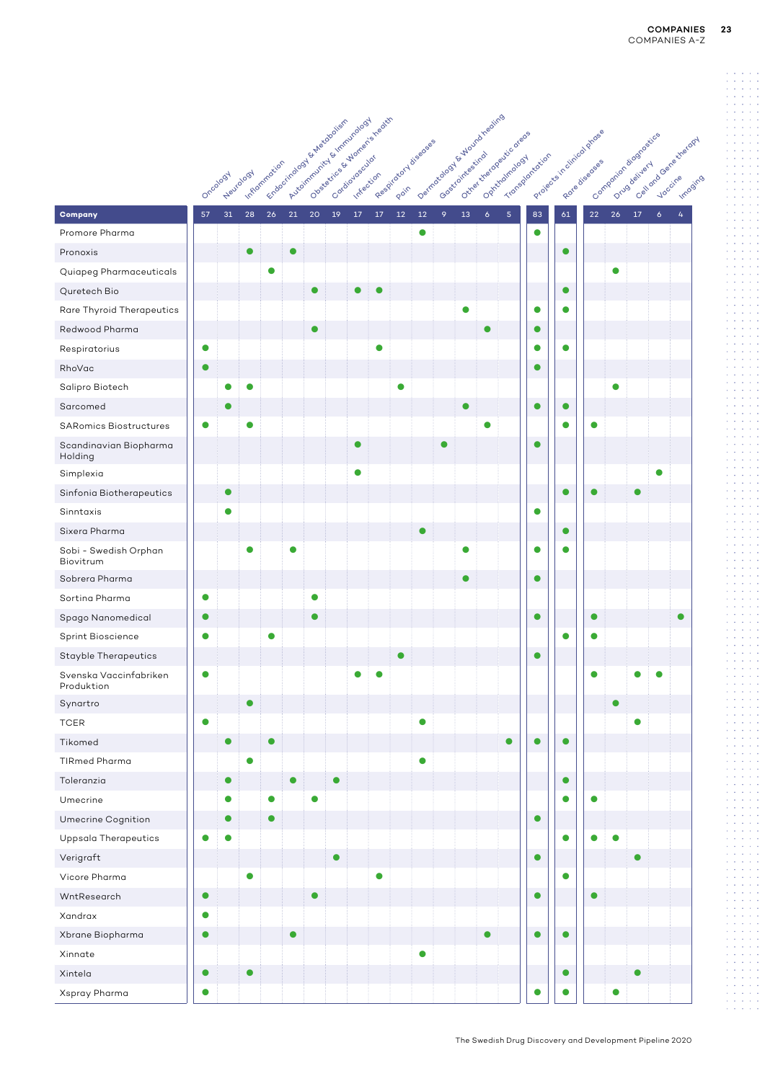|                                      |           | <b>Heurology</b><br>Oncology |           | Fracadinalog S. S. Augustocium<br>I. ARiomnation |           | Automntwitte & Innivirology |           |           | Observative & Morton's registr | Registered diseaseses |           | Demnitorable Librariation |           |                | Outre the dege diccore of | Projects in dinical grasses<br>Transportation |           |           |           | Contraction adoptastics<br>Cell ond Gene stretogy |   | Imposing |
|--------------------------------------|-----------|------------------------------|-----------|--------------------------------------------------|-----------|-----------------------------|-----------|-----------|--------------------------------|-----------------------|-----------|---------------------------|-----------|----------------|---------------------------|-----------------------------------------------|-----------|-----------|-----------|---------------------------------------------------|---|----------|
| Company                              | 57        | 31                           | 28        | $26\,$                                           | 21        | 20                          | 19        | $17\,$    | $17$                           | $12\,$                | $12\,$    | 9                         | 13        | $\ddot{\circ}$ | $\overline{5}$            | 83                                            | 61        | 22        | 26        | $17\,$<br>$\ddot{\delta}$                         | 4 |          |
| Promore Pharma                       |           |                              |           |                                                  |           |                             |           |           |                                |                       | $\bullet$ |                           |           |                |                           | $\bullet$                                     |           |           |           |                                                   |   |          |
| Pronoxis                             |           |                              | $\bullet$ |                                                  | $\bullet$ |                             |           |           |                                |                       |           |                           |           |                |                           |                                               | $\bullet$ |           |           |                                                   |   |          |
| Quiapeg Pharmaceuticals              |           |                              |           | $\bullet$                                        |           |                             |           |           |                                |                       |           |                           |           |                |                           |                                               |           |           | 0         |                                                   |   |          |
| Quretech Bio                         |           |                              |           |                                                  |           | $\bullet$                   |           | $\bullet$ |                                |                       |           |                           |           |                |                           |                                               | $\bullet$ |           |           |                                                   |   |          |
| Rare Thyroid Therapeutics            |           |                              |           |                                                  |           |                             |           |           |                                |                       |           |                           |           |                |                           | $\bullet$                                     | $\bullet$ |           |           |                                                   |   |          |
| Redwood Pharma                       |           |                              |           |                                                  |           | $\bullet$                   |           |           |                                |                       |           |                           |           | $\bullet$      |                           | $\bullet$                                     |           |           |           |                                                   |   |          |
| Respiratorius                        | $\bullet$ |                              |           |                                                  |           |                             |           |           | o                              |                       |           |                           |           |                |                           | $\bullet$                                     | $\bullet$ |           |           |                                                   |   |          |
| RhoVac                               | $\bullet$ |                              |           |                                                  |           |                             |           |           |                                |                       |           |                           |           |                |                           | $\bullet$                                     |           |           |           |                                                   |   |          |
| Salipro Biotech                      |           | $\bullet$                    | $\bullet$ |                                                  |           |                             |           |           |                                | ●                     |           |                           |           |                |                           |                                               |           |           | $\bullet$ |                                                   |   |          |
| Sarcomed                             |           | $\bullet$                    |           |                                                  |           |                             |           |           |                                |                       |           |                           | $\bullet$ |                |                           | $\bullet$                                     | $\bullet$ |           |           |                                                   |   |          |
| <b>SARomics Biostructures</b>        | $\bullet$ |                              | $\bullet$ |                                                  |           |                             |           |           |                                |                       |           |                           |           | ●              |                           |                                               | $\bullet$ | Ο         |           |                                                   |   |          |
| Scandinavian Biopharma<br>Holding    |           |                              |           |                                                  |           |                             |           | $\bullet$ |                                |                       |           | $\bullet$                 |           |                |                           | $\bullet$                                     |           |           |           |                                                   |   |          |
| Simplexia                            |           |                              |           |                                                  |           |                             |           | $\bullet$ |                                |                       |           |                           |           |                |                           |                                               |           |           |           | $\bullet$                                         |   |          |
| Sinfonia Biotherapeutics             |           | $\bullet$                    |           |                                                  |           |                             |           |           |                                |                       |           |                           |           |                |                           |                                               | $\bullet$ | $\bullet$ |           | O                                                 |   |          |
| Sinntaxis                            |           | $\bullet$                    |           |                                                  |           |                             |           |           |                                |                       |           |                           |           |                |                           | $\bullet$                                     |           |           |           |                                                   |   |          |
| Sixera Pharma                        |           |                              |           |                                                  |           |                             |           |           |                                |                       |           |                           |           |                |                           |                                               | $\bullet$ |           |           |                                                   |   |          |
| Sobi - Swedish Orphan<br>Biovitrum   |           |                              | $\bullet$ |                                                  | Ω         |                             |           |           |                                |                       |           |                           | ●         |                |                           | ●                                             | $\bullet$ |           |           |                                                   |   |          |
| Sobrera Pharma                       |           |                              |           |                                                  |           |                             |           |           |                                |                       |           |                           |           |                |                           | $\bullet$                                     |           |           |           |                                                   |   |          |
| Sortina Pharma                       | $\bullet$ |                              |           |                                                  |           | $\bullet$                   |           |           |                                |                       |           |                           |           |                |                           |                                               |           |           |           |                                                   |   |          |
| Spago Nanomedical                    | $\bullet$ |                              |           |                                                  |           |                             |           |           |                                |                       |           |                           |           |                |                           | $\bullet$                                     |           | $\bullet$ |           |                                                   |   |          |
| Sprint Bioscience                    | $\bullet$ |                              |           | $\bullet$                                        |           |                             |           |           |                                |                       |           |                           |           |                |                           |                                               | $\bullet$ | O         |           |                                                   |   |          |
| <b>Stayble Therapeutics</b>          |           |                              |           |                                                  |           |                             |           |           |                                | $\bullet$             |           |                           |           |                |                           | $\bullet$                                     |           |           |           |                                                   |   |          |
| Svenska Vaccinfabriken<br>Produktion | $\bullet$ |                              |           |                                                  |           |                             |           | $\bullet$ | 0                              |                       |           |                           |           |                |                           |                                               |           | $\bullet$ |           | 0<br>$\bullet$                                    |   |          |
| Synartro                             |           |                              |           |                                                  |           |                             |           |           |                                |                       |           |                           |           |                |                           |                                               |           |           |           |                                                   |   |          |
| <b>TCER</b>                          | $\bullet$ |                              |           |                                                  |           |                             |           |           |                                |                       | $\bullet$ |                           |           |                |                           |                                               |           |           |           | $\bullet$                                         |   |          |
| Tikomed                              |           | $\bullet$                    |           | $\bullet$                                        |           |                             |           |           |                                |                       |           |                           |           |                |                           | $\bullet$                                     | $\bullet$ |           |           |                                                   |   |          |
| <b>TIRmed Pharma</b>                 |           |                              | $\bullet$ |                                                  |           |                             |           |           |                                |                       | $\bullet$ |                           |           |                |                           |                                               |           |           |           |                                                   |   |          |
| Toleranzia                           |           | $\bullet$                    |           |                                                  | $\bullet$ |                             | $\bullet$ |           |                                |                       |           |                           |           |                |                           |                                               | $\bullet$ |           |           |                                                   |   |          |
| Umecrine                             |           | $\bullet$                    |           | $\bullet$                                        |           | $\bullet$                   |           |           |                                |                       |           |                           |           |                |                           |                                               | $\bullet$ | $\bullet$ |           |                                                   |   |          |
| Umecrine Cognition                   |           | $\bullet$                    |           | $\bullet$                                        |           |                             |           |           |                                |                       |           |                           |           |                |                           | $\bullet$                                     |           |           |           |                                                   |   |          |
| Uppsala Therapeutics                 | $\bullet$ | $\bullet$                    |           |                                                  |           |                             |           |           |                                |                       |           |                           |           |                |                           |                                               | $\bullet$ | $\bullet$ | $\bullet$ |                                                   |   |          |
| Verigraft                            |           |                              |           |                                                  |           |                             | $\bullet$ |           |                                |                       |           |                           |           |                |                           | $\bullet$                                     |           |           |           | $\bullet$                                         |   |          |
| Vicore Pharma                        |           |                              | $\bullet$ |                                                  |           |                             |           |           | $\bullet$                      |                       |           |                           |           |                |                           |                                               | $\bullet$ |           |           |                                                   |   |          |
| WntResearch                          | $\bullet$ |                              |           |                                                  |           | $\bullet$                   |           |           |                                |                       |           |                           |           |                |                           | $\bullet$                                     |           | $\bullet$ |           |                                                   |   |          |
| Xandrax                              | $\bullet$ |                              |           |                                                  |           |                             |           |           |                                |                       |           |                           |           |                |                           |                                               |           |           |           |                                                   |   |          |
| Xbrane Biopharma                     | $\bullet$ |                              |           |                                                  |           |                             |           |           |                                |                       |           |                           |           |                |                           | $\bullet$                                     | $\bullet$ |           |           |                                                   |   |          |
| Xinnate                              |           |                              |           |                                                  |           |                             |           |           |                                |                       | $\bullet$ |                           |           |                |                           |                                               |           |           |           |                                                   |   |          |
| Xintela                              | $\bullet$ |                              | $\bullet$ |                                                  |           |                             |           |           |                                |                       |           |                           |           |                |                           |                                               | $\bullet$ |           |           | $\bullet$                                         |   |          |
| Xspray Pharma                        | $\bullet$ |                              |           |                                                  |           |                             |           |           |                                |                       |           |                           |           |                |                           | $\bullet$                                     | $\bullet$ |           | $\bullet$ |                                                   |   |          |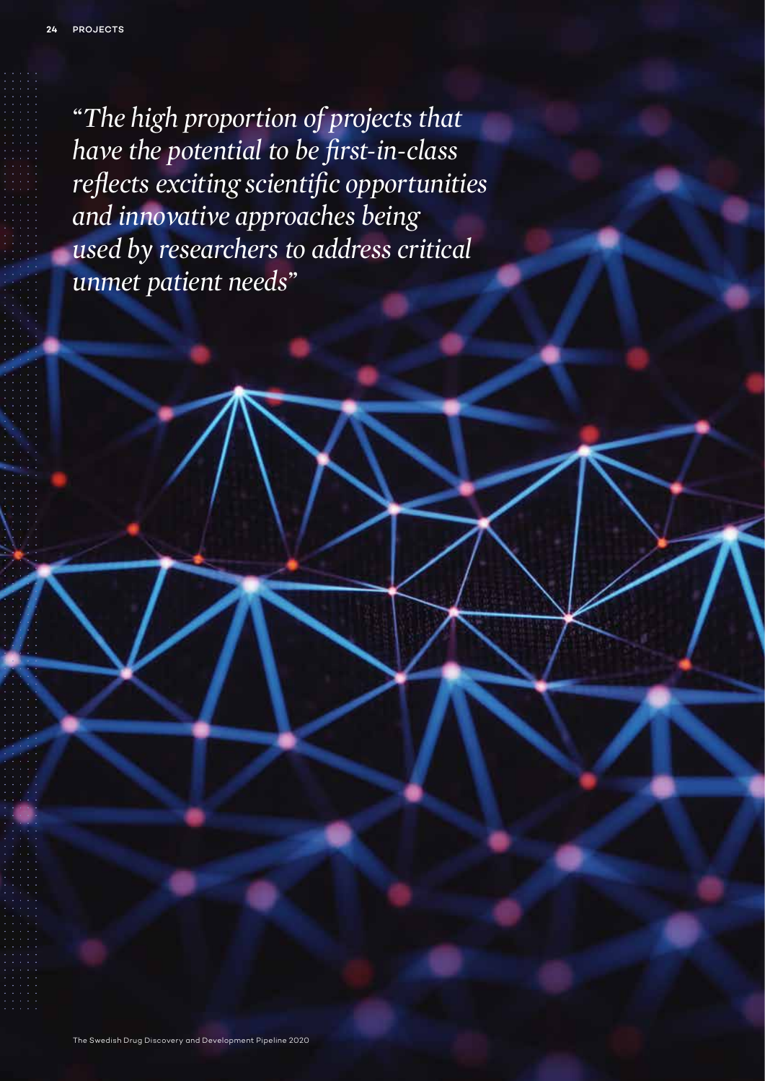*"The high proportion of projects that have the potential to be first-in-class reflects exciting scientific opportunities and innovative approaches being used by researchers to address critical unmet patient needs"*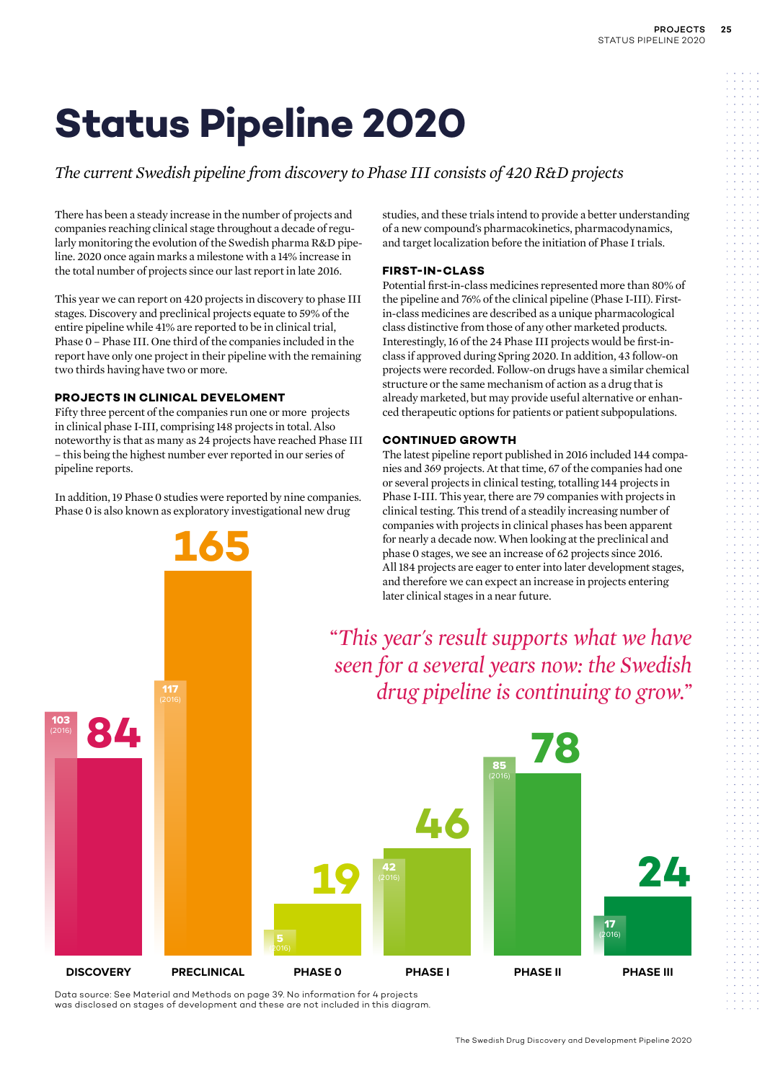### *The current Swedish pipeline from discovery to Phase III consists of 420 R&D projects*

There has been a steady increase in the number of projects and companies reaching clinical stage throughout a decade of regularly monitoring the evolution of the Swedish pharma R&D pipeline. 2020 once again marks a milestone with a 14% increase in the total number of projects since our last report in late 2016.

This year we can report on 420 projects in discovery to phase III stages. Discovery and preclinical projects equate to 59% of the entire pipeline while 41% are reported to be in clinical trial, Phase 0 – Phase III. One third of the companies included in the report have only one project in their pipeline with the remaining two thirds having have two or more.

### **PROJECTS IN CLINICAL DEVELOMENT**

117

Fifty three percent of the companies run one or more projects in clinical phase I-III, comprising 148 projects in total. Also noteworthy is that as many as 24 projects have reached Phase III – this being the highest number ever reported in our series of pipeline reports.

In addition, 19 Phase 0 studies were reported by nine companies. Phase 0 is also known as exploratory investigational new drug

**165**

studies, and these trials intend to provide a better understanding of a new compound's pharmacokinetics, pharmacodynamics, and target localization before the initiation of Phase I trials.

### **FIRST-IN-CLASS**

Potential first-in-class medicines represented more than 80% of the pipeline and 76% of the clinical pipeline (Phase I-III). Firstin-class medicines are described as a unique pharmacological class distinctive from those of any other marketed products. Interestingly, 16 of the 24 Phase III projects would be first-inclass if approved during Spring 2020. In addition, 43 follow-on projects were recorded. Follow-on drugs have a similar chemical structure or the same mechanism of action as a drug that is already marketed, but may provide useful alternative or enhanced therapeutic options for patients or patient subpopulations.

### **CONTINUED GROWTH**

The latest pipeline report published in 2016 included 144 companies and 369 projects. At that time, 67 of the companies had one or several projects in clinical testing, totalling 144 projects in Phase I-III. This year, there are 79 companies with projects in clinical testing. This trend of a steadily increasing number of companies with projects in clinical phases has been apparent for nearly a decade now. When looking at the preclinical and phase 0 stages, we see an increase of 62 projects since 2016. All 184 projects are eager to enter into later development stages, and therefore we can expect an increase in projects entering later clinical stages in a near future.

*"This year's result supports what we have seen for a several years now: the Swedish drug pipeline is continuing to grow."*



Data source: See Material and Methods on page 39. No information for 4 projects was disclosed on stages of development and these are not included in this diagram.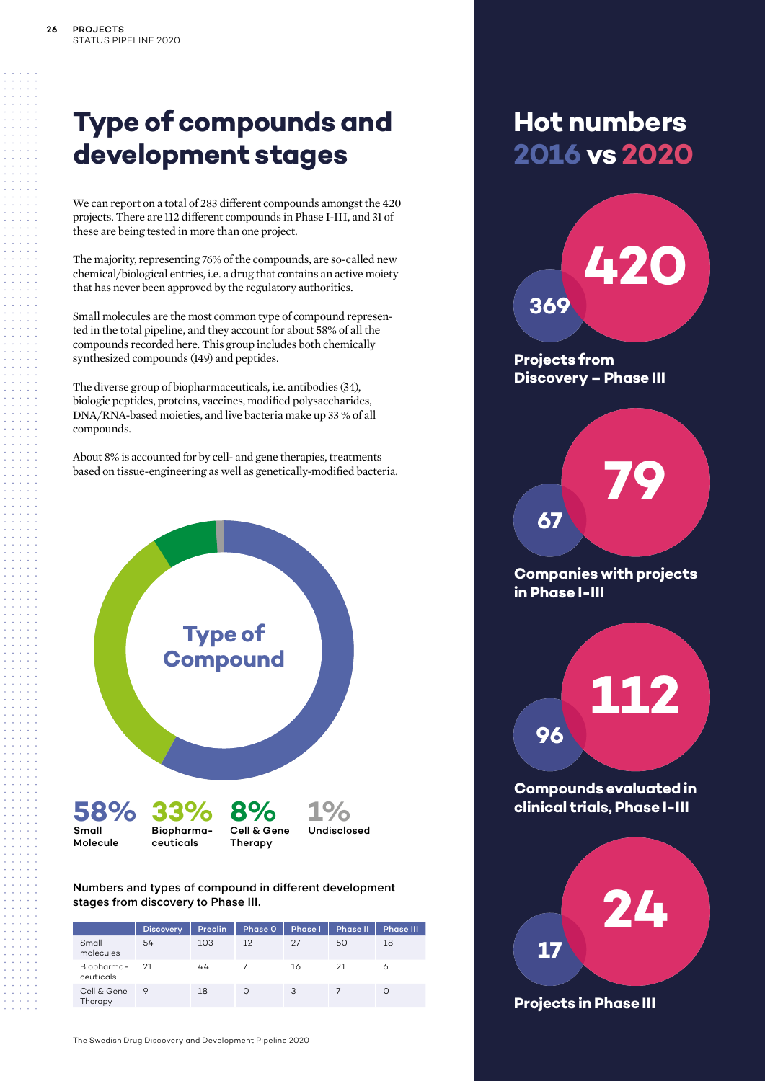### **Type of compounds and development stages**

We can report on a total of 283 different compounds amongst the 420 projects. There are 112 different compounds in Phase I-III, and 31 of these are being tested in more than one project.

The majority, representing 76% of the compounds, are so-called new chemical/biological entries, i.e. a drug that contains an active moiety that has never been approved by the regulatory authorities.

Small molecules are the most common type of compound represented in the total pipeline, and they account for about 58% of all the compounds recorded here. This group includes both chemically synthesized compounds (149) and peptides.

The diverse group of biopharmaceuticals, i.e. antibodies (34), biologic peptides, proteins, vaccines, modified polysaccharides, DNA/RNA-based moieties, and live bacteria make up 33 % of all compounds.

About 8% is accounted for by cell- and gene therapies, treatments based on tissue-engineering as well as genetically-modified bacteria.



**Numbers and types of compound in different development stages from discovery to Phase III.**

|                         | <b>Discovery</b> | <b>Preclin</b> | Phase 0  | <b>Phase I</b> | <b>Phase II</b> | <b>Phase III</b> |
|-------------------------|------------------|----------------|----------|----------------|-----------------|------------------|
| Small<br>molecules      | 54               | 103            | 12       | 27             | 50              | 18               |
| Biopharma-<br>ceuticals | 21               | 44             |          | 16             | 21              | Ô                |
| Cell & Gene<br>Therapy  | 9                | 18             | $\Omega$ | 3              |                 |                  |

The Swedish Drug Discovery and Development Pipeline 2020

### **Hot numbers 2016 vs 2020**

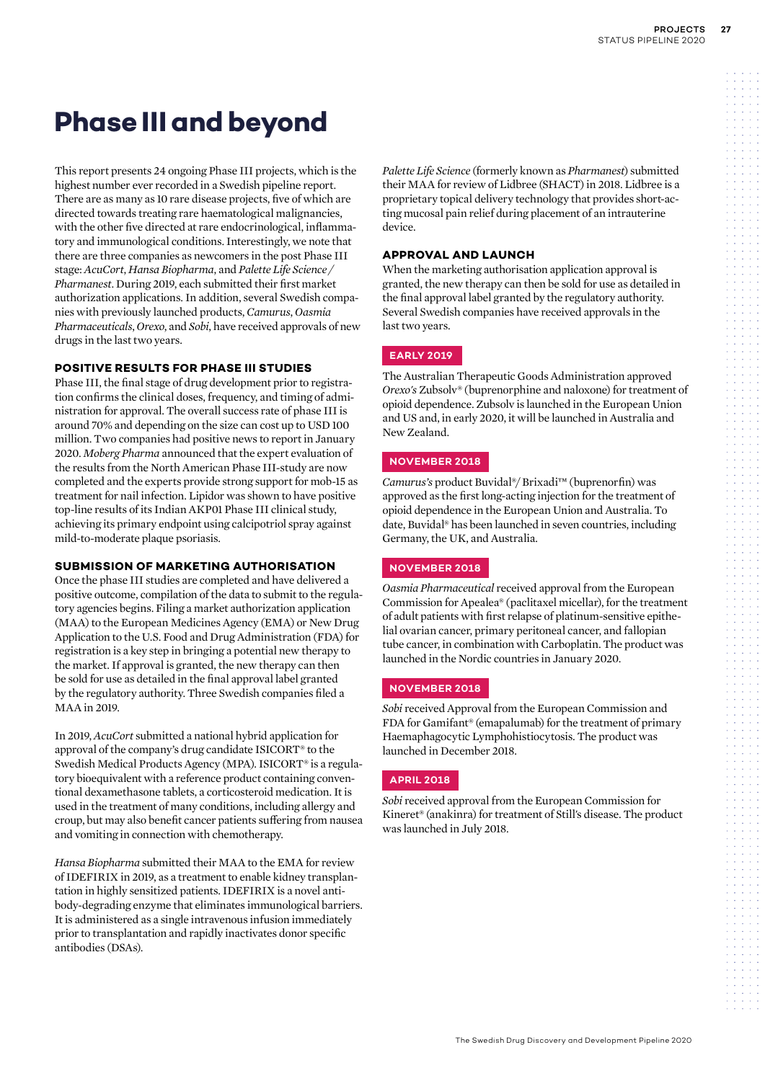### **Phase III and beyond**

This report presents 24 ongoing Phase III projects, which is the highest number ever recorded in a Swedish pipeline report. There are as many as 10 rare disease projects, five of which are directed towards treating rare haematological malignancies, with the other five directed at rare endocrinological, inflammatory and immunological conditions. Interestingly, we note that there are three companies as newcomers in the post Phase III stage: *AcuCort*, *Hansa Biopharma*, and *Palette Life Science / Pharmanest*. During 2019, each submitted their first market authorization applications. In addition, several Swedish companies with previously launched products, *Camurus*, *Oasmia Pharmaceuticals*, *Orexo*, and *Sobi*, have received approvals of new drugs in the last two years.

### **POSITIVE RESULTS FOR PHASE III STUDIES**

Phase III, the final stage of drug development prior to registration confirms the clinical doses, frequency, and timing of administration for approval. The overall success rate of phase III is around 70% and depending on the size can cost up to USD 100 million. Two companies had positive news to report in January 2020. *Moberg Pharma* announced that the expert evaluation of the results from the North American Phase III-study are now completed and the experts provide strong support for mob-15 as treatment for nail infection. Lipidor was shown to have positive top-line results of its Indian AKP01 Phase III clinical study, achieving its primary endpoint using calcipotriol spray against mild-to-moderate plaque psoriasis.

### **SUBMISSION OF MARKETING AUTHORISATION**

Once the phase III studies are completed and have delivered a positive outcome, compilation of the data to submit to the regulatory agencies begins. Filing a market authorization application (MAA) to the European Medicines Agency (EMA) or New Drug Application to the U.S. Food and Drug Administration (FDA) for registration is a key step in bringing a potential new therapy to the market. If approval is granted, the new therapy can then be sold for use as detailed in the final approval label granted by the regulatory authority. Three Swedish companies filed a MAA in 2019.

In 2019, *AcuCort* submitted a national hybrid application for approval of the company's drug candidate ISICORT® to the Swedish Medical Products Agency (MPA). ISICORT® is a regulatory bioequivalent with a reference product containing conventional dexamethasone tablets, a corticosteroid medication. It is used in the treatment of many conditions, including allergy and croup, but may also benefit cancer patients suffering from nausea and vomiting in connection with chemotherapy.

*Hansa Biopharma* submitted their MAA to the EMA for review of IDEFIRIX in 2019, as a treatment to enable kidney transplantation in highly sensitized patients. IDEFIRIX is a novel antibody-degrading enzyme that eliminates immunological barriers. It is administered as a single intravenous infusion immediately prior to transplantation and rapidly inactivates donor specific antibodies (DSAs).

*Palette Life Science* (formerly known as *Pharmanest*) submitted their MAA for review of Lidbree (SHACT) in 2018. Lidbree is a proprietary topical delivery technology that provides short-acting mucosal pain relief during placement of an intrauterine device.

### **APPROVAL AND LAUNCH**

When the marketing authorisation application approval is granted, the new therapy can then be sold for use as detailed in the final approval label granted by the regulatory authority. Several Swedish companies have received approvals in the last two years.

### **EARLY 2019**

The Australian Therapeutic Goods Administration approved *Orexo's* Zubsolv® (buprenorphine and naloxone) for treatment of opioid dependence. Zubsolv is launched in the European Union and US and, in early 2020, it will be launched in Australia and New Zealand.

### **NOVEMBER 2018**

*Camurus's* product Buvidal®/ Brixadi™ (buprenorfin) was approved as the first long-acting injection for the treatment of opioid dependence in the European Union and Australia. To date, Buvidal® has been launched in seven countries, including Germany, the UK, and Australia.

### **NOVEMBER 2018**

*Oasmia Pharmaceutical* received approval from the European Commission for Apealea® (paclitaxel micellar), for the treatment of adult patients with first relapse of platinum-sensitive epithelial ovarian cancer, primary peritoneal cancer, and fallopian tube cancer, in combination with Carboplatin. The product was launched in the Nordic countries in January 2020.

### **NOVEMBER 2018**

*Sobi* received Approval from the European Commission and FDA for Gamifant® (emapalumab) for the treatment of primary Haemaphagocytic Lymphohistiocytosis. The product was launched in December 2018.

### **APRIL 2018**

*Sobi* received approval from the European Commission for Kineret® (anakinra) for treatment of Still's disease. The product was launched in July 2018.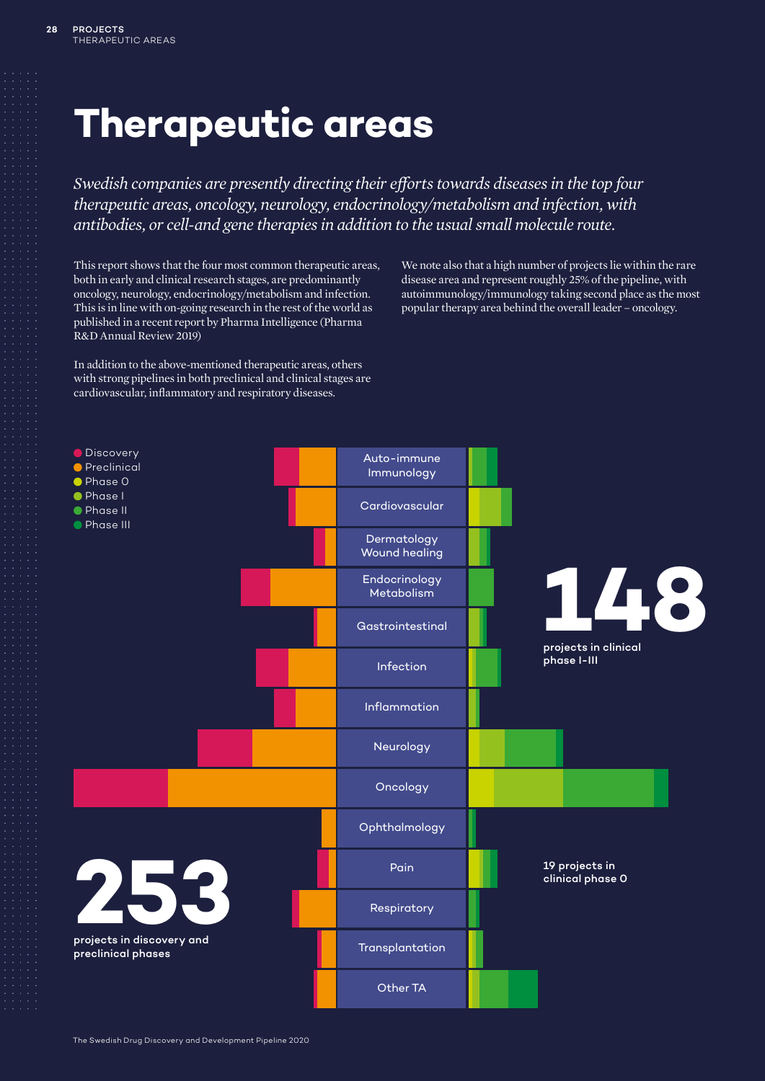# **Therapeutic areas**

*Swedish companies are presently directing their efforts towards diseases in the top four therapeutic areas, oncology, neurology, endocrinology/metabolism and infection, with antibodies, or cell-and gene therapies in addition to the usual small molecule route.*

This report shows that the four most common therapeutic areas, both in early and clinical research stages, are predominantly oncology, neurology, endocrinology/metabolism and infection. This is in line with on-going research in the rest of the world as published in a recent report by Pharma Intelligence (Pharma R&D Annual Review 2019)

In addition to the above-mentioned therapeutic areas, others with strong pipelines in both preclinical and clinical stages are cardiovascular, inflammatory and respiratory diseases.

We note also that a high number of projects lie within the rare disease area and represent roughly 25% of the pipeline, with autoimmunology/immunology taking second place as the most popular therapy area behind the overall leader – oncology.

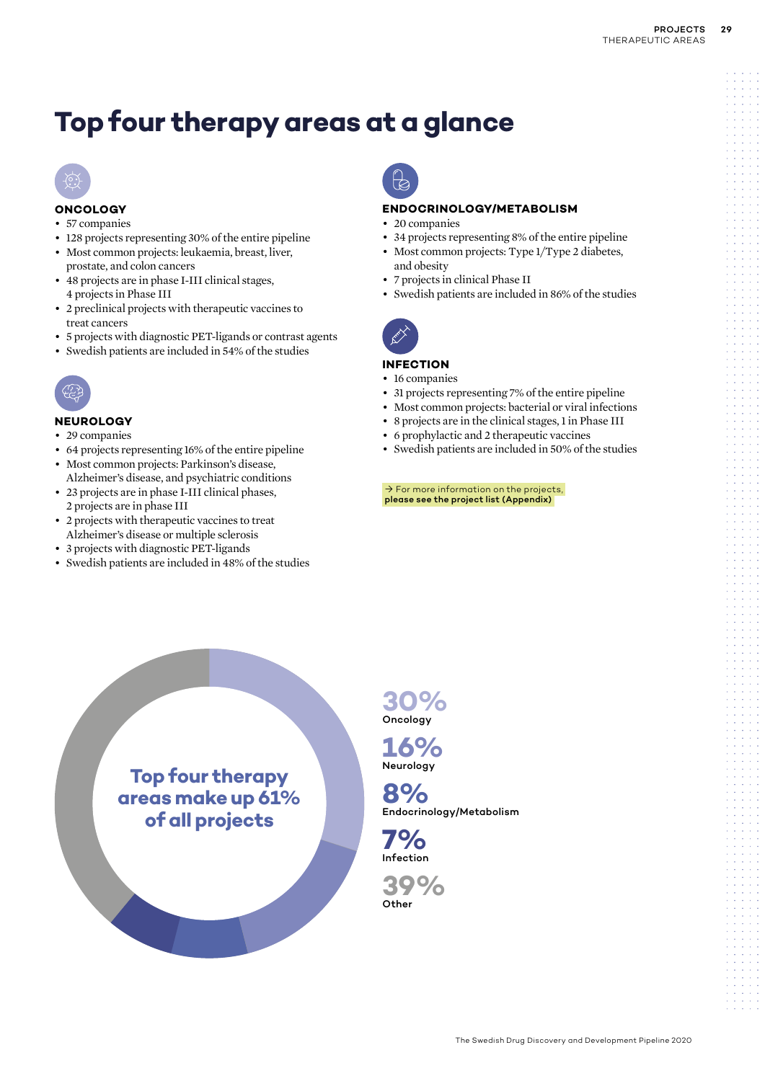### **Top four therapy areas at a glance**



### **ONCOLOGY**

- 57 companies
- 128 projects representing 30% of the entire pipeline
- Most common projects: leukaemia, breast, liver, prostate, and colon cancers
- 48 projects are in phase I-III clinical stages, 4 projects in Phase III
- 2 preclinical projects with therapeutic vaccines to treat cancers
- 5 projects with diagnostic PET-ligands or contrast agents
- Swedish patients are included in 54% of the studies



### **NEUROLOGY**

- 29 companies
- 64 projects representing 16% of the entire pipeline
- Most common projects: Parkinson's disease, Alzheimer's disease, and psychiatric conditions
- 23 projects are in phase I-III clinical phases, 2 projects are in phase III
- 2 projects with therapeutic vaccines to treat Alzheimer's disease or multiple sclerosis
- 3 projects with diagnostic PET-ligands
- Swedish patients are included in 48% of the studies



### **ENDOCRINOLOGY/METABOLISM**

- 20 companies
- 34 projects representing 8% of the entire pipeline
- Most common projects: Type 1/Type 2 diabetes, and obesity
- 7 projects in clinical Phase II
- Swedish patients are included in 86% of the studies



### **INFECTION**

- 16 companies
- 31 projects representing 7% of the entire pipeline
- Most common projects: bacterial or viral infections
- 8 projects are in the clinical stages, 1 in Phase III
- 6 prophylactic and 2 therapeutic vaccines
- Swedish patients are included in 50% of the studies

 $\rightarrow$  For more information on the projects, please see the project list (Appendix)



**30%** Oncology



**8%** Endocrinology/Metabolism

**7%** Infection

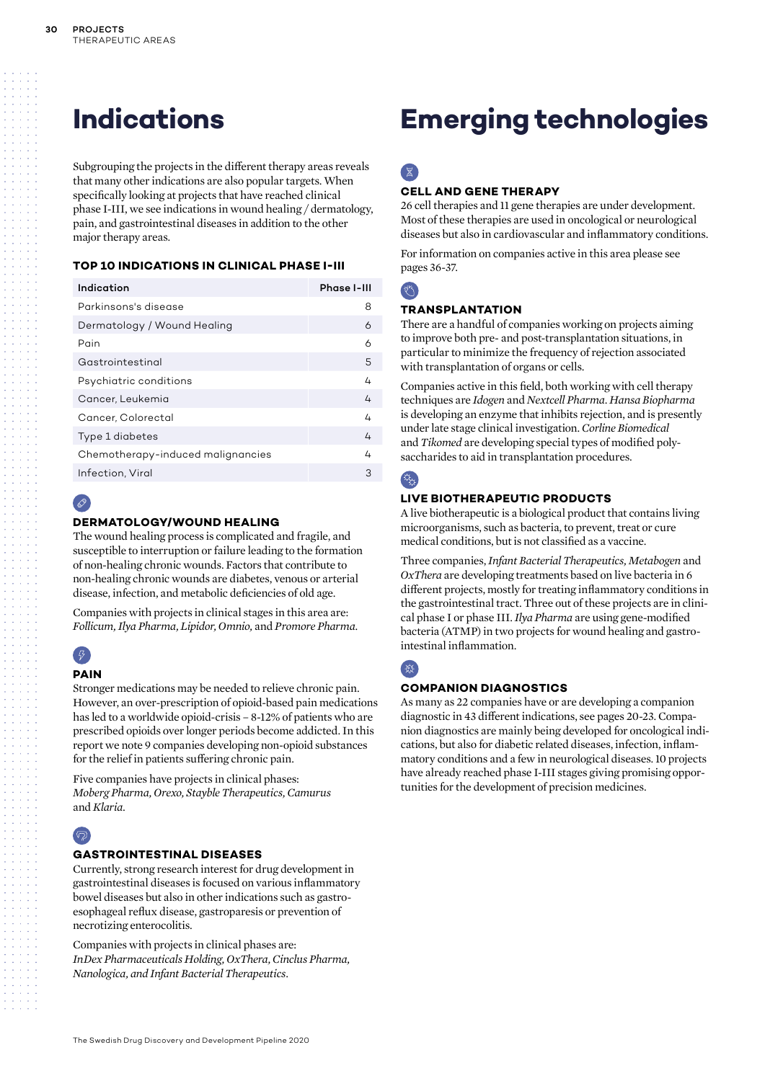Subgrouping the projects in the different therapy areas reveals that many other indications are also popular targets. When specifically looking at projects that have reached clinical phase I-III, we see indications in wound healing / dermatology, pain, and gastrointestinal diseases in addition to the other major therapy areas.

### **TOP 10 INDICATIONS IN CLINICAL PHASE I-III**

| Indication                        | Phase I-III |  |  |  |  |  |  |  |
|-----------------------------------|-------------|--|--|--|--|--|--|--|
| Parkinsons's disease              |             |  |  |  |  |  |  |  |
| Dermatology / Wound Healing       |             |  |  |  |  |  |  |  |
| Pain                              | 6           |  |  |  |  |  |  |  |
| Gastrointestinal                  | 5           |  |  |  |  |  |  |  |
| Psychiatric conditions            | 4           |  |  |  |  |  |  |  |
| Cancer, Leukemia                  | 4           |  |  |  |  |  |  |  |
| Cancer, Colorectal                | 4           |  |  |  |  |  |  |  |
| Type 1 diabetes                   | 4           |  |  |  |  |  |  |  |
| Chemotherapy-induced malignancies | 4           |  |  |  |  |  |  |  |
| Infection, Viral<br>3             |             |  |  |  |  |  |  |  |

### $\mathscr{P}$

### **DERMATOLOGY/WOUND HEALING**

The wound healing process is complicated and fragile, and susceptible to interruption or failure leading to the formation of non-healing chronic wounds. Factors that contribute to non-healing chronic wounds are diabetes, venous or arterial disease, infection, and metabolic deficiencies of old age.

Companies with projects in clinical stages in this area are: *Follicum, Ilya Pharma, Lipidor, Omnio,* and *Promore Pharma*.

### $\left( 5\right)$ **PAIN**

Stronger medications may be needed to relieve chronic pain. However, an over-prescription of opioid-based pain medications has led to a worldwide opioid-crisis – 8-12% of patients who are prescribed opioids over longer periods become addicted. In this

report we note 9 companies developing non-opioid substances for the relief in patients suffering chronic pain. Five companies have projects in clinical phases:

*Moberg Pharma, Orexo, Stayble Therapeutics, Camurus* 

### $\bigcirc$

and *Klaria.*

### **GASTROINTESTINAL DISEASES**

Currently, strong research interest for drug development in gastrointestinal diseases is focused on various inflammatory bowel diseases but also in other indications such as gastroesophageal reflux disease, gastroparesis or prevention of necrotizing enterocolitis.

Companies with projects in clinical phases are: *InDex Pharmaceuticals Holding, OxThera, Cinclus Pharma, Nanologica, and Infant Bacterial Therapeutics.*

### **Indications Emerging technologies**

### $\mathbb{Z}$

### **CELL AND GENE THERAPY**

26 cell therapies and 11 gene therapies are under development. Most of these therapies are used in oncological or neurological diseases but also in cardiovascular and inflammatory conditions.

For information on companies active in this area please see pages 36-37.

### $R_{\rm s}$

### **TRANSPLANTATION**

There are a handful of companies working on projects aiming to improve both pre- and post-transplantation situations, in particular to minimize the frequency of rejection associated with transplantation of organs or cells.

Companies active in this field, both working with cell therapy techniques are *Idogen* and *Nextcell Pharma*. *Hansa Biopharma* is developing an enzyme that inhibits rejection, and is presently under late stage clinical investigation. *Corline Biomedical* and *Tikomed* are developing special types of modified polysaccharides to aid in transplantation procedures.

### $\alpha$

### **LIVE BIOTHERAPEUTIC PRODUCTS**

A live biotherapeutic is a biological product that contains living microorganisms, such as bacteria, to prevent, treat or cure medical conditions, but is not classified as a vaccine.

Three companies, *Infant Bacterial Therapeutics, Metabogen* and *OxThera* are developing treatments based on live bacteria in 6 different projects, mostly for treating inflammatory conditions in the gastrointestinal tract. Three out of these projects are in clinical phase I or phase III. *Ilya Pharma* are using gene-modified bacteria (ATMP) in two projects for wound healing and gastrointestinal inflammation.

### 受

### **COMPANION DIAGNOSTICS**

As many as 22 companies have or are developing a companion diagnostic in 43 different indications, see pages 20-23. Companion diagnostics are mainly being developed for oncological indications, but also for diabetic related diseases, infection, inflammatory conditions and a few in neurological diseases. 10 projects have already reached phase I-III stages giving promising opportunities for the development of precision medicines.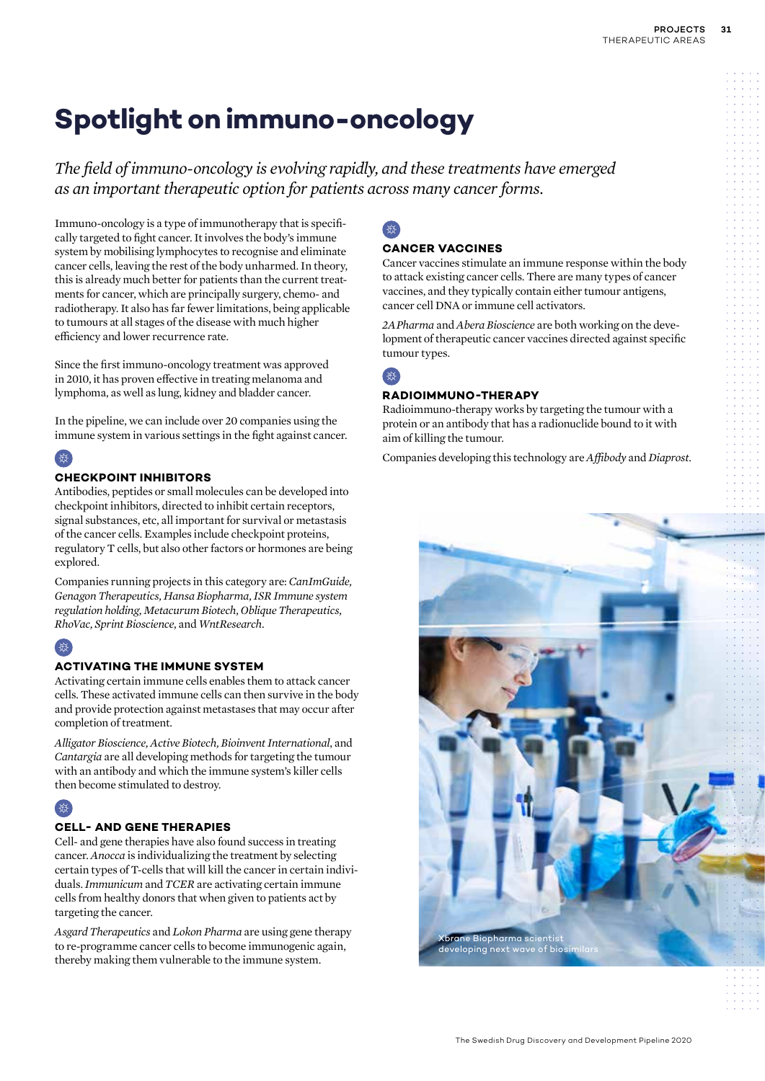*The field of immuno-oncology is evolving rapidly, and these treatments have emerged as an important therapeutic option for patients across many cancer forms.*

Immuno-oncology is a type of immunotherapy that is specifically targeted to fight cancer. It involves the body's immune system by mobilising lymphocytes to recognise and eliminate cancer cells, leaving the rest of the body unharmed. In theory, this is already much better for patients than the current treatments for cancer, which are principally surgery, chemo- and radiotherapy. It also has far fewer limitations, being applicable to tumours at all stages of the disease with much higher efficiency and lower recurrence rate.

Since the first immuno-oncology treatment was approved in 2010, it has proven effective in treating melanoma and lymphoma, as well as lung, kidney and bladder cancer.

In the pipeline, we can include over 20 companies using the immune system in various settings in the fight against cancer.

### 受

### **CHECKPOINT INHIBITORS**

Antibodies, peptides or small molecules can be developed into checkpoint inhibitors, directed to inhibit certain receptors, signal substances, etc, all important for survival or metastasis of the cancer cells. Examples include checkpoint proteins, regulatory T cells, but also other factors or hormones are being explored.

Companies running projects in this category are: *CanImGuide, Genagon Therapeutics, Hansa Biopharma, ISR Immune system regulation holding, Metacurum Biotech, Oblique Therapeutics, RhoVac, Sprint Bioscience*, and *WntResearch*.

### 受

### **ACTIVATING THE IMMUNE SYSTEM**

Activating certain immune cells enables them to attack cancer cells. These activated immune cells can then survive in the body and provide protection against metastases that may occur after completion of treatment.

*Alligator Bioscience, Active Biotech, Bioinvent International*, and *Cantargia* are all developing methods for targeting the tumour with an antibody and which the immune system's killer cells then become stimulated to destroy.

### 受

### **CELL- AND GENE THERAPIES**

Cell- and gene therapies have also found success in treating cancer. *Anocca* is individualizing the treatment by selecting certain types of T-cells that will kill the cancer in certain individuals. *Immunicum* and *TCER* are activating certain immune cells from healthy donors that when given to patients act by targeting the cancer.

*Asgard Therapeutics* and *Lokon Pharma* are using gene therapy to re-programme cancer cells to become immunogenic again, thereby making them vulnerable to the immune system.

### **CANCER VACCINES**

Cancer vaccines stimulate an immune response within the body to attack existing cancer cells. There are many types of cancer vaccines, and they typically contain either tumour antigens, cancer cell DNA or immune cell activators.

*2APharma* and *Abera Bioscience* are both working on the development of therapeutic cancer vaccines directed against specific tumour types.

### 登

### **RADIOIMMUNO-THERAPY**

Radioimmuno-therapy works by targeting the tumour with a protein or an antibody that has a radionuclide bound to it with aim of killing the tumour.

Companies developing this technology are *Affibody* and *Diaprost*.

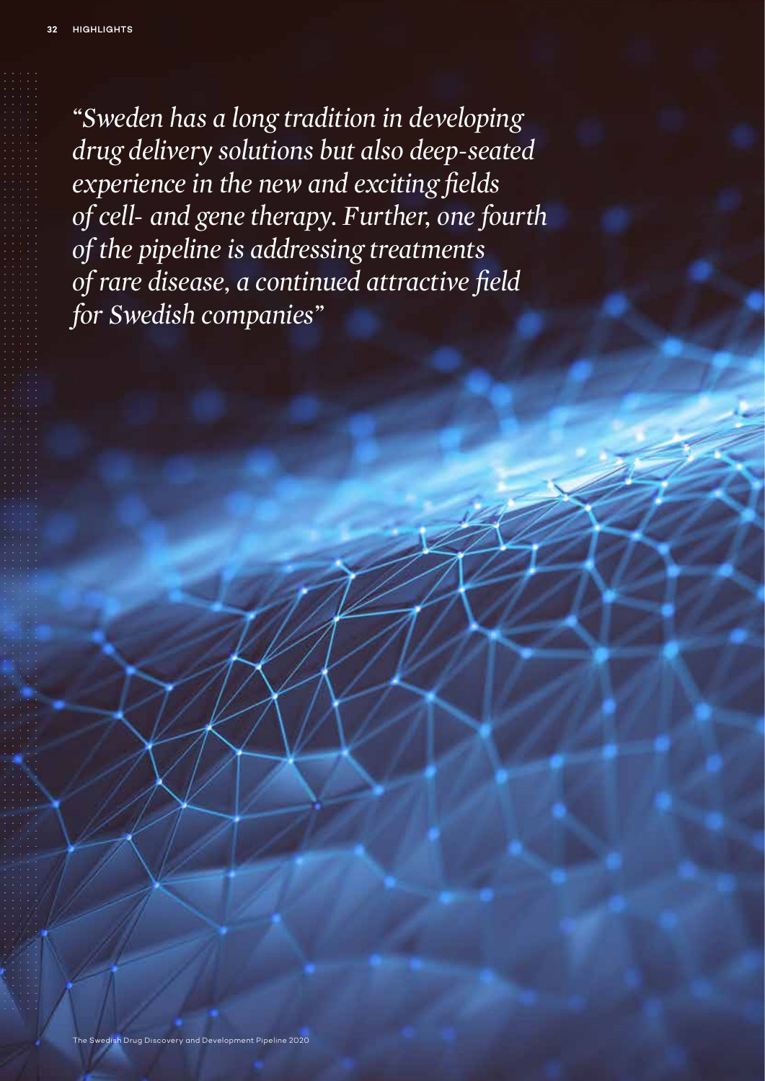*"Sweden has a long tradition in developing drug delivery solutions but also deep-seated experience in the new and exciting fields of cell- and gene therapy. Further, one fourth of the pipeline is addressing treatments of rare disease, a continued attractive field for Swedish companies"*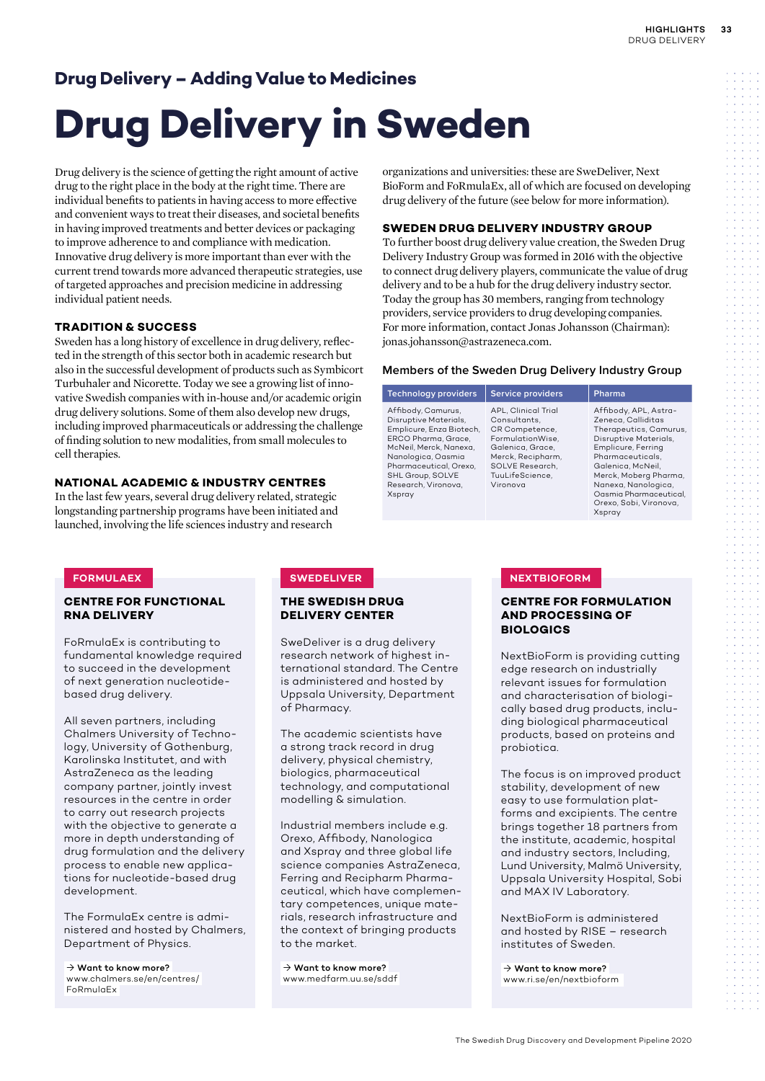### **Drug Delivery – Adding Value to Medicines**

# **Drug Delivery in Sweden**

Drug delivery is the science of getting the right amount of active drug to the right place in the body at the right time. There are individual benefits to patients in having access to more effective and convenient ways to treat their diseases, and societal benefits in having improved treatments and better devices or packaging to improve adherence to and compliance with medication. Innovative drug delivery is more important than ever with the current trend towards more advanced therapeutic strategies, use of targeted approaches and precision medicine in addressing individual patient needs.

### **TRADITION & SUCCESS**

Sweden has a long history of excellence in drug delivery, reflected in the strength of this sector both in academic research but also in the successful development of products such as Symbicort Turbuhaler and Nicorette. Today we see a growing list of innovative Swedish companies with in-house and/or academic origin drug delivery solutions. Some of them also develop new drugs, including improved pharmaceuticals or addressing the challenge of finding solution to new modalities, from small molecules to cell therapies.

### **NATIONAL ACADEMIC & INDUSTRY CENTRES**

In the last few years, several drug delivery related, strategic longstanding partnership programs have been initiated and launched, involving the life sciences industry and research

#### organizations and universities: these are SweDeliver, Next BioForm and FoRmulaEx, all of which are focused on developing drug delivery of the future (see below for more information).

### **SWEDEN DRUG DELIVERY INDUSTRY GROUP**

To further boost drug delivery value creation, the Sweden Drug Delivery Industry Group was formed in 2016 with the objective to connect drug delivery players, communicate the value of drug delivery and to be a hub for the drug delivery industry sector. Today the group has 30 members, ranging from technology providers, service providers to drug developing companies. For more information, contact Jonas Johansson (Chairman): jonas.johansson@astrazeneca.com.

### **Members of the Sweden Drug Delivery Industry Group**

| <b>Technology providers</b>                                                                                                                                                                                                   | <b>Service providers</b>                                                                                                                                             | Pharma                                                                                                                                                                                                                                                                      |
|-------------------------------------------------------------------------------------------------------------------------------------------------------------------------------------------------------------------------------|----------------------------------------------------------------------------------------------------------------------------------------------------------------------|-----------------------------------------------------------------------------------------------------------------------------------------------------------------------------------------------------------------------------------------------------------------------------|
| Affibody, Camurus,<br>Disruptive Materials.<br>Emplicure, Enza Biotech,<br>ERCO Pharma, Grace,<br>McNeil, Merck, Nanexa,<br>Nanologica, Oasmia<br>Pharmaceutical, Orexo,<br>SHL Group, SOLVE<br>Research, Vironova,<br>Xspray | APL, Clinical Trial<br>Consultants.<br>CR Competence,<br>FormulationWise,<br>Galenica, Grace,<br>Merck, Recipharm,<br>SOLVE Research.<br>TuuLifeScience,<br>Vironova | Affibody, APL, Astra-<br>Zeneca, Calliditas<br>Therapeutics, Camurus,<br>Disruptive Materials,<br>Emplicure, Ferring<br>Pharmaceuticals.<br>Galenica, McNeil,<br>Merck, Moberg Pharma,<br>Nanexa, Nanologica,<br>Oasmia Pharmaceutical,<br>Orexo, Sobi, Vironova,<br>Xspray |

#### **CENTRE FOR FUNCTIONAL RNA DELIVERY**

FoRmulaEx is contributing to fundamental knowledge required to succeed in the development of next generation nucleotidebased drug delivery.

All seven partners, including Chalmers University of Technology, University of Gothenburg, Karolinska Institutet, and with AstraZeneca as the leading company partner, jointly invest resources in the centre in order to carry out research projects with the objective to generate a more in depth understanding of drug formulation and the delivery process to enable new applications for nucleotide-based drug development.

The FormulaEx centre is administered and hosted by Chalmers, Department of Physics.

 $\rightarrow$  Want to know more? www.chalmers.se/en/centres/ FoRmulaEx

### **THE SWEDISH DRUG DELIVERY CENTER**

SweDeliver is a drug delivery research network of highest international standard. The Centre is administered and hosted by Uppsala University, Department of Pharmacy.

The academic scientists have a strong track record in drug delivery, physical chemistry, biologics, pharmaceutical technology, and computational modelling & simulation.

Industrial members include e.g. Orexo, Affibody, Nanologica and Xspray and three global life science companies AstraZeneca, Ferring and Recipharm Pharmaceutical, which have complementary competences, unique materials, research infrastructure and the context of bringing products to the market.

 $\rightarrow$  Want to know more? www.medfarm.uu.se/sddf

### **FORMULAEX NEXTBIOFORM**

### **CENTRE FOR FORMULATION AND PROCESSING OF BIOLOGICS**

NextBioForm is providing cutting edge research on industrially relevant issues for formulation and characterisation of biologically based drug products, including biological pharmaceutical products, based on proteins and probiotica.

The focus is on improved product stability, development of new easy to use formulation platforms and excipients. The centre brings together 18 partners from the institute, academic, hospital and industry sectors, Including, Lund University, Malmö University, Uppsala University Hospital, Sobi and MAX IV Laboratory.

NextBioForm is administered and hosted by RISE – research institutes of Sweden.

 $\rightarrow$  Want to know more? www.ri.se/en/nextbioform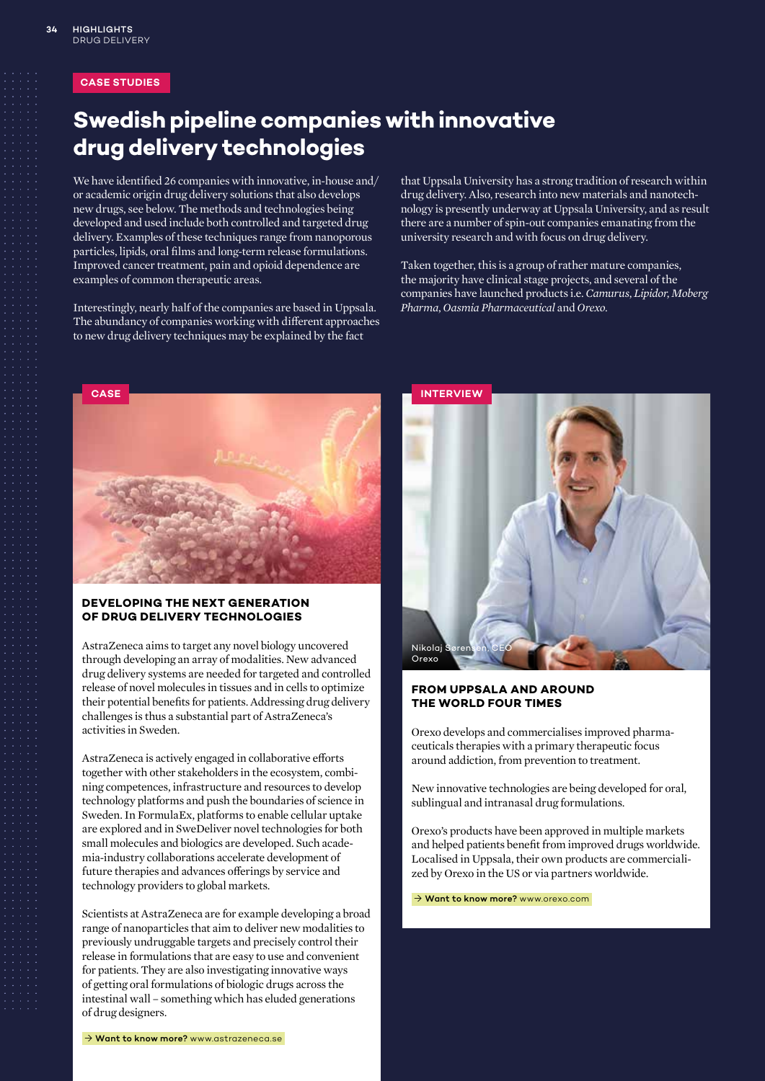### **CASE STUDIES**

### **Swedish pipeline companies with innovative drug delivery technologies**

We have identified 26 companies with innovative, in-house and/ or academic origin drug delivery solutions that also develops new drugs, see below. The methods and technologies being developed and used include both controlled and targeted drug delivery. Examples of these techniques range from nanoporous particles, lipids, oral films and long-term release formulations. Improved cancer treatment, pain and opioid dependence are examples of common therapeutic areas.

Interestingly, nearly half of the companies are based in Uppsala. The abundancy of companies working with different approaches to new drug delivery techniques may be explained by the fact

that Uppsala University has a strong tradition of research within drug delivery. Also, research into new materials and nanotechnology is presently underway at Uppsala University, and as result there are a number of spin-out companies emanating from the university research and with focus on drug delivery.

Taken together, this is a group of rather mature companies, the majority have clinical stage projects, and several of the companies have launched products i.e. *Camurus*, *Lipidor*, *Moberg Pharma*, *Oasmia Pharmaceutical* and *Orexo*.



### **DEVELOPING THE NEXT GENERATION OF DRUG DELIVERY TECHNOLOGIES**

AstraZeneca aims to target any novel biology uncovered through developing an array of modalities. New advanced drug delivery systems are needed for targeted and controlled release of novel molecules in tissues and in cells to optimize their potential benefits for patients. Addressing drug delivery challenges is thus a substantial part of AstraZeneca's activities in Sweden.

AstraZeneca is actively engaged in collaborative efforts together with other stakeholders in the ecosystem, combining competences, infrastructure and resources to develop technology platforms and push the boundaries of science in Sweden. In FormulaEx, platforms to enable cellular uptake are explored and in SweDeliver novel technologies for both small molecules and biologics are developed. Such academia-industry collaborations accelerate development of future therapies and advances offerings by service and technology providers to global markets.

Scientists at AstraZeneca are for example developing a broad range of nanoparticles that aim to deliver new modalities to previously undruggable targets and precisely control their release in formulations that are easy to use and convenient for patients. They are also investigating innovative ways of getting oral formulations of biologic drugs across the intestinal wall – something which has eluded generations of drug designers.



### **FROM UPPSALA AND AROUND THE WORLD FOUR TIMES**

Orexo develops and commercialises improved pharmaceuticals therapies with a primary therapeutic focus around addiction, from prevention to treatment.

New innovative technologies are being developed for oral, sublingual and intranasal drug formulations.

Orexo's products have been approved in multiple markets and helped patients benefit from improved drugs worldwide. Localised in Uppsala, their own products are commercialized by Orexo in the US or via partners worldwide.

→ Want to know more? www.orexo.com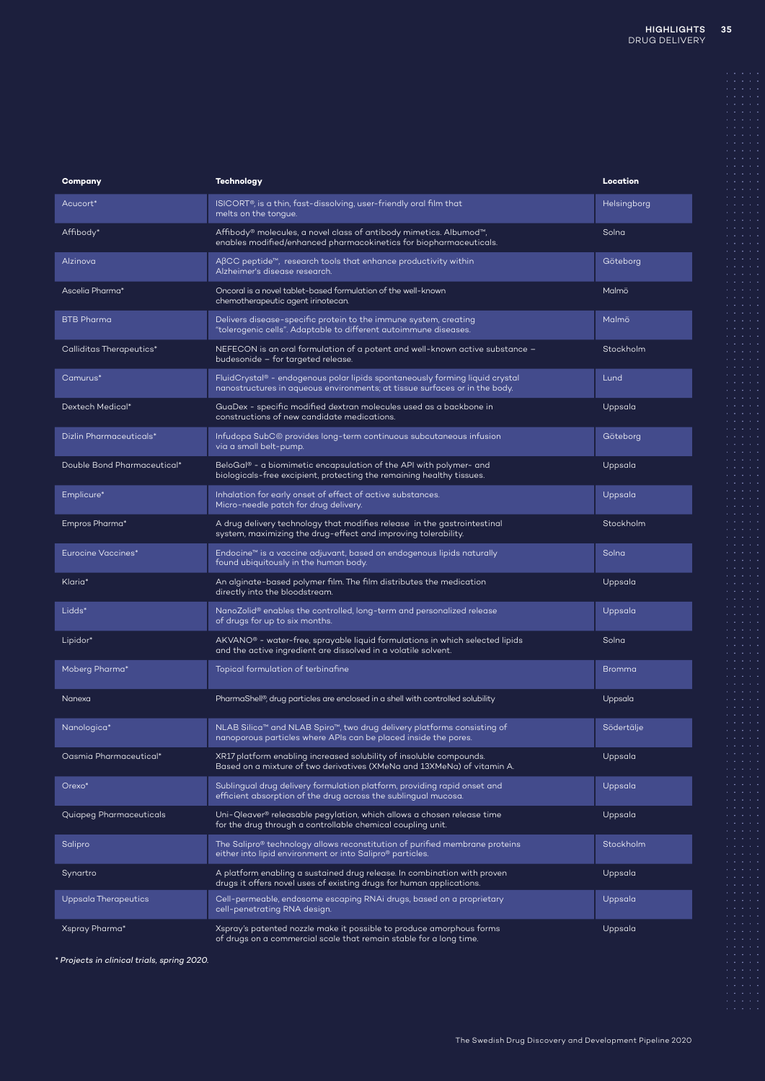| Company                     | <b>Technology</b>                                                                                                                                          | Location      |
|-----------------------------|------------------------------------------------------------------------------------------------------------------------------------------------------------|---------------|
| Acucort*                    | ISICORT®, is a thin, fast-dissolving, user-friendly oral film that<br>melts on the tongue.                                                                 | Helsingborg   |
| Affibody*                   | Affibody® molecules, a novel class of antibody mimetics. Albumod™,<br>enables modified/enhanced pharmacokinetics for biopharmaceuticals.                   | Solna         |
| Alzinova                    | $\mathsf{A}\beta\mathsf{CC}$ peptide <sup><math>\mathsf{m}</math></sup> , research tools that enhance productivity within<br>Alzheimer's disease research. | Göteborg      |
| Ascelia Pharma*             | Oncoral is a novel tablet-based formulation of the well-known<br>chemotherapeutic agent irinotecan.                                                        | Malmö         |
| <b>BTB Pharma</b>           | Delivers disease-specific protein to the immune system, creating<br>"tolerogenic cells". Adaptable to different autoimmune diseases.                       | Malmö         |
| Calliditas Therapeutics*    | NEFECON is an oral formulation of a potent and well-known active substance -<br>budesonide - for targeted release.                                         | Stockholm     |
| Camurus*                    | FluidCrystal® - endogenous polar lipids spontaneously forming liquid crystal<br>nanostructures in aqueous environments; at tissue surfaces or in the body. | Lund          |
| Dextech Medical*            | GuaDex - specific modified dextran molecules used as a backbone in<br>constructions of new candidate medications.                                          | Uppsala       |
| Dizlin Pharmaceuticals*     | Infudopa SubC© provides long-term continuous subcutaneous infusion<br>via a small belt-pump.                                                               | Göteborg      |
| Double Bond Pharmaceutical* | BeloGal® - a biomimetic encapsulation of the API with polymer- and<br>biologicals-free excipient, protecting the remaining healthy tissues.                | Uppsala       |
| Emplicure*                  | Inhalation for early onset of effect of active substances.<br>Micro-needle patch for drug delivery.                                                        | Uppsala       |
| Empros Pharma*              | A drug delivery technology that modifies release in the gastrointestinal<br>system, maximizing the drug-effect and improving tolerability.                 | Stockholm     |
| <b>Eurocine Vaccines*</b>   | Endocine™ is a vaccine adjuvant, based on endogenous lipids naturally<br>found ubiquitously in the human body.                                             | Solna         |
| Klaria*                     | An alginate-based polymer film. The film distributes the medication<br>directly into the bloodstream.                                                      | Uppsala       |
| Lidds*                      | NanoZolid® enables the controlled, long-term and personalized release<br>of drugs for up to six months.                                                    | Uppsala       |
| Lipidor*                    | AKVANO <sup>®</sup> - water-free, sprayable liquid formulations in which selected lipids<br>and the active ingredient are dissolved in a volatile solvent. | Solna         |
| Moberg Pharma*              | Topical formulation of terbinafine                                                                                                                         | <b>Bromma</b> |
| Nanexa                      | PharmaShell®, drug particles are enclosed in a shell with controlled solubility                                                                            | Uppsala       |
| Nanologica*                 | NLAB Silica™ and NLAB Spiro™, two drug delivery platforms consisting of<br>nanoporous particles where APIs can be placed inside the pores.                 | Södertälje    |
| Oasmia Pharmaceutical*      | XR17 platform enabling increased solubility of insoluble compounds.<br>Based on a mixture of two derivatives (XMeNa and 13XMeNa) of vitamin A.             | Uppsala       |
| Orexo*                      | Sublingual drug delivery formulation platform, providing rapid onset and<br>efficient absorption of the drug across the sublingual mucosa.                 | Uppsala       |
| Quiapeg Pharmaceuticals     | Uni-Qleaver® releasable pegylation, which allows a chosen release time<br>for the drug through a controllable chemical coupling unit.                      | Uppsala       |
| Salipro                     | The Salipro® technology allows reconstitution of purified membrane proteins<br>either into lipid environment or into Salipro® particles.                   | Stockholm     |
| Synartro                    | A platform enabling a sustained drug release. In combination with proven<br>drugs it offers novel uses of existing drugs for human applications.           | Uppsala       |
| Uppsala Therapeutics        | Cell-permeable, endosome escaping RNAi drugs, based on a proprietary<br>cell-penetrating RNA design.                                                       | Uppsala       |
| Xspray Pharma*              | Xspray's patented nozzle make it possible to produce amorphous forms<br>of drugs on a commercial scale that remain stable for a long time.                 | Uppsala       |

*\* Projects in clinical trials, spring 2020.*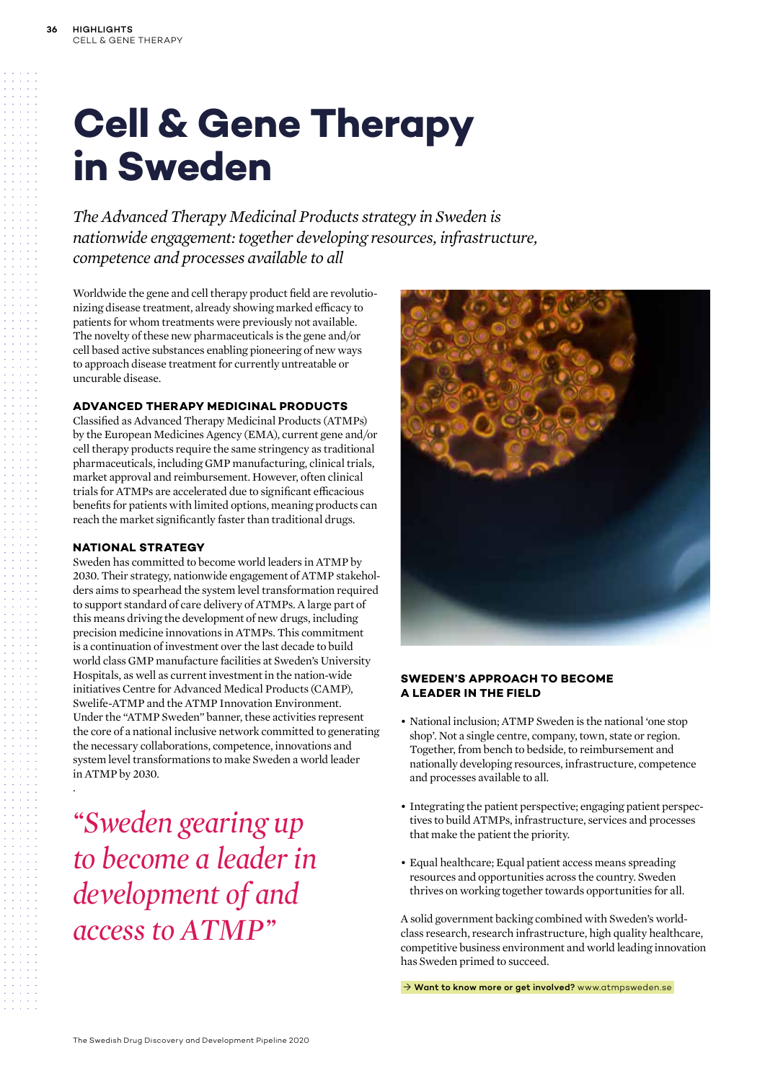# **Cell & Gene Therapy in Sweden**

*The Advanced Therapy Medicinal Products strategy in Sweden is nationwide engagement: together developing resources, infrastructure, competence and processes available to all*

Worldwide the gene and cell therapy product field are revolutionizing disease treatment, already showing marked efficacy to patients for whom treatments were previously not available. The novelty of these new pharmaceuticals is the gene and/or cell based active substances enabling pioneering of new ways to approach disease treatment for currently untreatable or uncurable disease.

### **ADVANCED THERAPY MEDICINAL PRODUCTS**

Classified as Advanced Therapy Medicinal Products (ATMPs) by the European Medicines Agency (EMA), current gene and/or cell therapy products require the same stringency as traditional pharmaceuticals, including GMP manufacturing, clinical trials, market approval and reimbursement. However, often clinical trials for ATMPs are accelerated due to significant efficacious benefits for patients with limited options, meaning products can reach the market significantly faster than traditional drugs.

### **NATIONAL STRATEGY**

.

Sweden has committed to become world leaders in ATMP by 2030. Their strategy, nationwide engagement of ATMP stakeholders aims to spearhead the system level transformation required to support standard of care delivery of ATMPs. A large part of this means driving the development of new drugs, including precision medicine innovations in ATMPs. This commitment is a continuation of investment over the last decade to build world class GMP manufacture facilities at Sweden's University Hospitals, as well as current investment in the nation-wide initiatives Centre for Advanced Medical Products (CAMP), Swelife-ATMP and the ATMP Innovation Environment. Under the "ATMP Sweden" banner, these activities represent the core of a national inclusive network committed to generating the necessary collaborations, competence, innovations and system level transformations to make Sweden a world leader in ATMP by 2030.

*"Sweden gearing up to become a leader in development of and access to ATMP"*



### **SWEDEN'S APPROACH TO BECOME A LEADER IN THE FIELD**

- National inclusion; ATMP Sweden is the national 'one stop shop'. Not a single centre, company, town, state or region. Together, from bench to bedside, to reimbursement and nationally developing resources, infrastructure, competence and processes available to all.
- Integrating the patient perspective; engaging patient perspectives to build ATMPs, infrastructure, services and processes that make the patient the priority.
- Equal healthcare; Equal patient access means spreading resources and opportunities across the country. Sweden thrives on working together towards opportunities for all.

A solid government backing combined with Sweden's worldclass research, research infrastructure, high quality healthcare, competitive business environment and world leading innovation has Sweden primed to succeed.

→ Want to know more or get involved? www.atmpsweden.se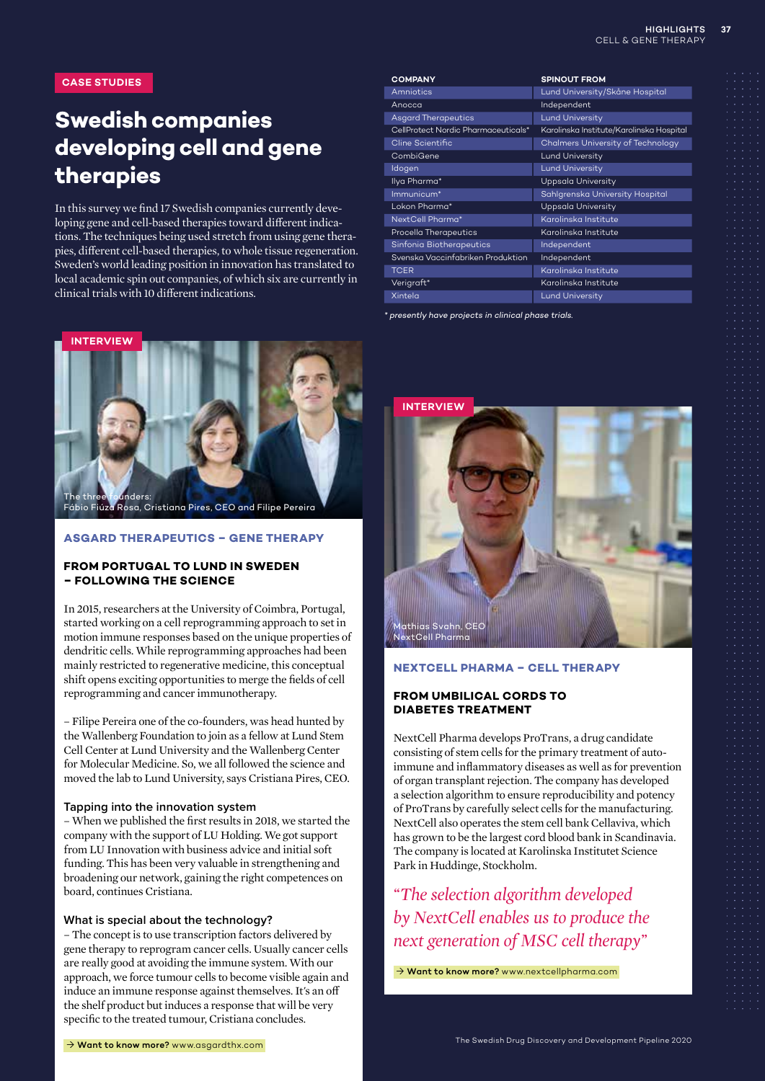**CASE STUDIES**

### **Swedish companies developing cell and gene therapies**

In this survey we find 17 Swedish companies currently developing gene and cell-based therapies toward different indications. The techniques being used stretch from using gene therapies, different cell-based therapies, to whole tissue regeneration. Sweden's world leading position in innovation has translated to local academic spin out companies, of which six are currently in clinical trials with 10 different indications.



### **ASGARD THERAPEUTICS – GENE THERAPY**

### **FROM PORTUGAL TO LUND IN SWEDEN – FOLLOWING THE SCIENCE**

In 2015, researchers at the University of Coimbra, Portugal, started working on a cell reprogramming approach to set in motion immune responses based on the unique properties of dendritic cells. While reprogramming approaches had been mainly restricted to regenerative medicine, this conceptual shift opens exciting opportunities to merge the fields of cell reprogramming and cancer immunotherapy.

– Filipe Pereira one of the co-founders, was head hunted by the Wallenberg Foundation to join as a fellow at Lund Stem Cell Center at Lund University and the Wallenberg Center for Molecular Medicine. So, we all followed the science and moved the lab to Lund University, says Cristiana Pires, CEO.

#### **Tapping into the innovation system**

– When we published the first results in 2018, we started the company with the support of LU Holding. We got support from LU Innovation with business advice and initial soft funding. This has been very valuable in strengthening and broadening our network, gaining the right competences on board, continues Cristiana.

### **What is special about the technology?**

– The concept is to use transcription factors delivered by gene therapy to reprogram cancer cells. Usually cancer cells are really good at avoiding the immune system. With our approach, we force tumour cells to become visible again and induce an immune response against themselves. It's an off the shelf product but induces a response that will be very specific to the treated tumour, Cristiana concludes.

| <b>COMPANY</b>                      | <b>SPINOUT FROM</b>                      |
|-------------------------------------|------------------------------------------|
| Amniotics                           | Lund University/Skåne Hospital           |
| Anocca                              | Independent                              |
| <b>Asgard Therapeutics</b>          | <b>Lund University</b>                   |
| CellProtect Nordic Pharmaceuticals* | Karolinska Institute/Karolinska Hospital |
| Cline Scientific                    | Chalmers University of Technology        |
| CombiGene                           | Lund University                          |
| Idogen                              | <b>Lund University</b>                   |
| Ilya Pharma*                        | Uppsala University                       |
| Immunicum*                          | Sahlgrenska University Hospital          |
| Lokon Pharma*                       | Uppsala University                       |
| NextCell Pharma*                    | Karolinska Institute                     |
| Procella Therapeutics               | Karolinska Institute                     |
| Sinfonia Biotherapeutics            | Independent                              |
| Svenska Vaccinfabriken Produktion   | Independent                              |
| <b>TCER</b>                         | Karolinska Institute                     |
| Verigraft*                          | Karolinska Institute                     |
| Xintela                             | Lund University                          |

*\* presently have projects in clinical phase trials.*



### **NEXTCELL PHARMA – CELL THERAPY**

### **FROM UMBILICAL CORDS TO DIABETES TREATMENT**

NextCell Pharma develops ProTrans, a drug candidate consisting of stem cells for the primary treatment of autoimmune and inflammatory diseases as well as for prevention of organ transplant rejection. The company has developed a selection algorithm to ensure reproducibility and potency of ProTrans by carefully select cells for the manufacturing. NextCell also operates the stem cell bank Cellaviva, which has grown to be the largest cord blood bank in Scandinavia. The company is located at Karolinska Institutet Science Park in Huddinge, Stockholm.

*"The selection algorithm developed by NextCell enables us to produce the next generation of MSC cell therapy"*

→ Want to know more? www.nextcellpharma.com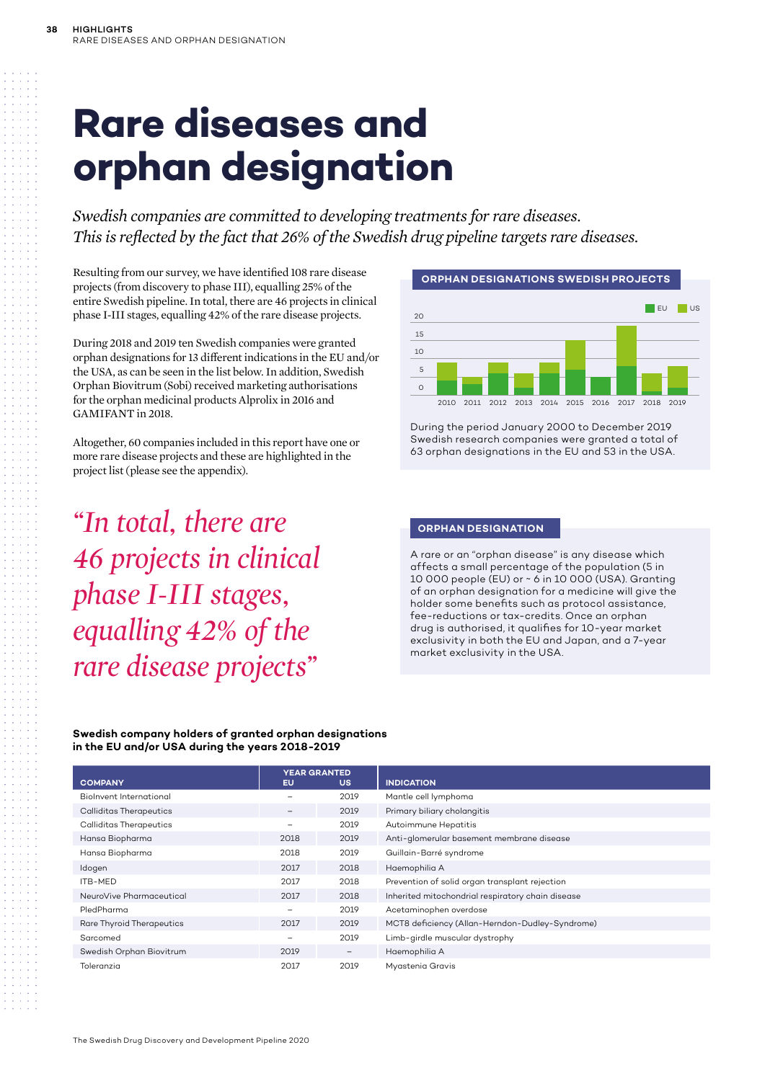# **Rare diseases and orphan designation**

*Swedish companies are committed to developing treatments for rare diseases. This is reflected by the fact that 26% of the Swedish drug pipeline targets rare diseases.*

Resulting from our survey, we have identified 108 rare disease projects (from discovery to phase III), equalling 25% of the entire Swedish pipeline. In total, there are 46 projects in clinical phase I-III stages, equalling 42% of the rare disease projects.

During 2018 and 2019 ten Swedish companies were granted orphan designations for 13 different indications in the EU and/or the USA, as can be seen in the list below. In addition, Swedish Orphan Biovitrum (Sobi) received marketing authorisations for the orphan medicinal products Alprolix in 2016 and GAMIFANT in 2018.

Altogether, 60 companies included in this report have one or more rare disease projects and these are highlighted in the project list (please see the appendix).

*"In total, there are 46 projects in clinical phase I-III stages, equalling 42% of the rare disease projects"*



During the period January 2000 to December 2019 Swedish research companies were granted a total of 63 orphan designations in the EU and 53 in the USA.

### **ORPHAN DESIGNATION**

A rare or an "orphan disease" is any disease which affects a small percentage of the population (5 in 10 000 people (EU) or ~ 6 in 10 000 (USA). Granting of an orphan designation for a medicine will give the holder some benefits such as protocol assistance, fee-reductions or tax-credits. Once an orphan drug is authorised, it qualifies for 10-year market exclusivity in both the EU and Japan, and a 7-year market exclusivity in the USA.

**Swedish company holders of granted orphan designations in the EU and/or USA during the years 2018-2019** 

| <b>COMPANY</b>            | <b>YEAR GRANTED</b><br>EU | US.               | <b>INDICATION</b>                                 |
|---------------------------|---------------------------|-------------------|---------------------------------------------------|
| Biolnvent International   |                           | 2019              | Mantle cell lymphoma                              |
| Calliditas Therapeutics   | $\qquad \qquad -$         | 2019              | Primary biliary cholangitis                       |
| Calliditas Therapeutics   | $\overline{\phantom{0}}$  | 2019              | Autoimmune Hepatitis                              |
| Hansa Biopharma           | 2018                      | 2019              | Anti-glomerular basement membrane disease         |
| Hansa Biopharma           | 2018                      | 2019              | Guillain-Barré syndrome                           |
| Idogen                    | 2017                      | 2018              | Haemophilia A                                     |
| ITB-MED                   | 2017                      | 2018              | Prevention of solid organ transplant rejection    |
| NeuroVive Pharmaceutical  | 2017                      | 2018              | Inherited mitochondrial respiratory chain disease |
| PledPharma                |                           | 2019              | Acetaminophen overdose                            |
| Rare Thyroid Therapeutics | 2017                      | 2019              | MCT8 deficiency (Allan-Herndon-Dudley-Syndrome)   |
| Sarcomed                  | $\overline{\phantom{0}}$  | 2019              | Limb-girdle muscular dystrophy                    |
| Swedish Orphan Biovitrum  | 2019                      | $\qquad \qquad -$ | Haemophilia A                                     |
| Toleranzia                | 2017                      | 2019              | Myastenia Gravis                                  |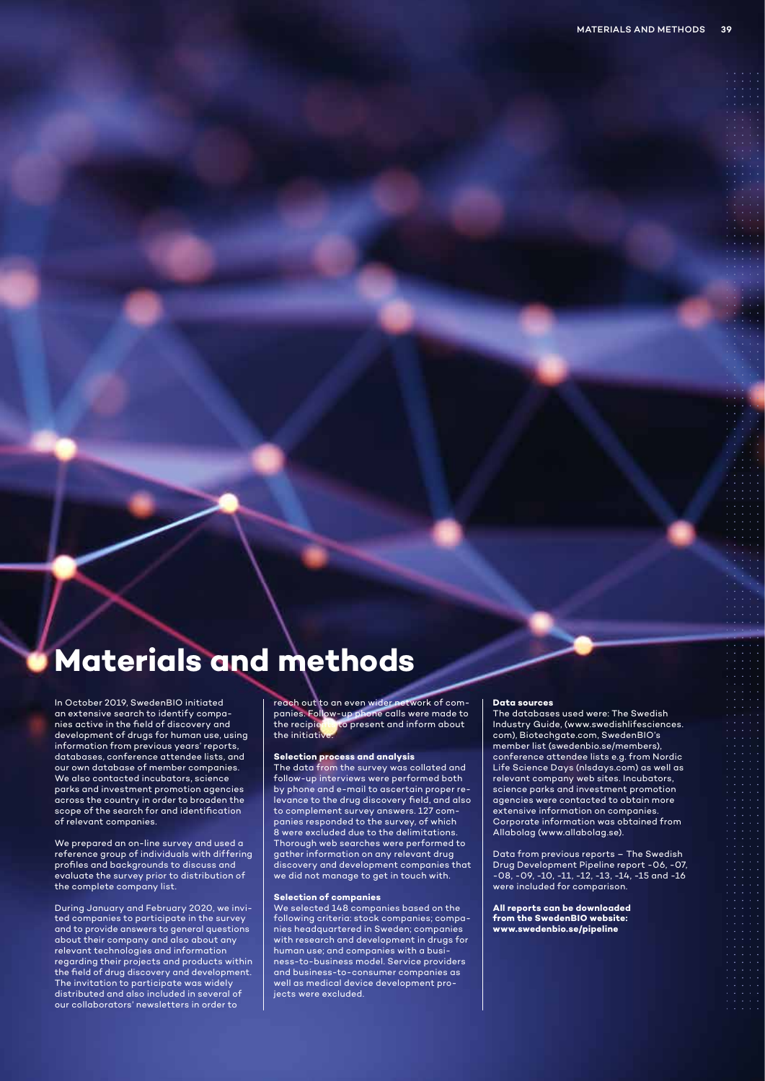### **Materials and methods**

In October 2019, SwedenBIO initiated an extensive search to identify companies active in the field of discovery and development of drugs for human use, using information from previous years' reports, databases, conference attendee lists, and our own database of member companies. We also contacted incubators, science parks and investment promotion agencies across the country in order to broaden the scope of the search for and identification of relevant companies.

We prepared an on-line survey and used a reference group of individuals with differing profiles and backgrounds to discuss and evaluate the survey prior to distribution of the complete company list.

During January and February 2020, we invited companies to participate in the survey and to provide answers to general questions about their company and also about any relevant technologies and information regarding their projects and products within the field of drug discovery and development. The invitation to participate was widely distributed and also included in several of our collaborators' newsletters in order to

reach out to an even wider network of companies. Follow-up phone calls were made to<br>the recipients to present and inform about to present and inform about the initiativ

#### **Selection process and analysis**

The data from the survey was collated and follow-up interviews were performed both by phone and e-mail to ascertain proper relevance to the drug discovery field, and also to complement survey answers. 127 companies responded to the survey, of which 8 were excluded due to the delimitations. Thorough web searches were performed to gather information on any relevant drug discovery and development companies that we did not manage to get in touch with.

#### **Selection of companies**

We selected 148 companies based on the following criteria: stock companies; companies headquartered in Sweden; companies with research and development in drugs for human use; and companies with a business-to-business model. Service providers and business-to-consumer companies as well as medical device development projects were excluded.

#### **Data sources**

The databases used were: The Swedish Industry Guide, (www.swedishlifesciences. com), Biotechgate.com, SwedenBIO's member list (swedenbio.se/members), conference attendee lists e.g. from Nordic Life Science Days (nlsdays.com) as well as relevant company web sites. Incubators, science parks and investment promotion agencies were contacted to obtain more extensive information on companies. Corporate information was obtained from Allabolag (www.allabolag.se).

Data from previous reports – The Swedish Drug Development Pipeline report -06, -07, -08, -09, -10, -11, -12, -13, -14, -15 and -16 were included for comparison.

**All reports can be downloaded from the SwedenBIO website: www.swedenbio.se/pipeline**